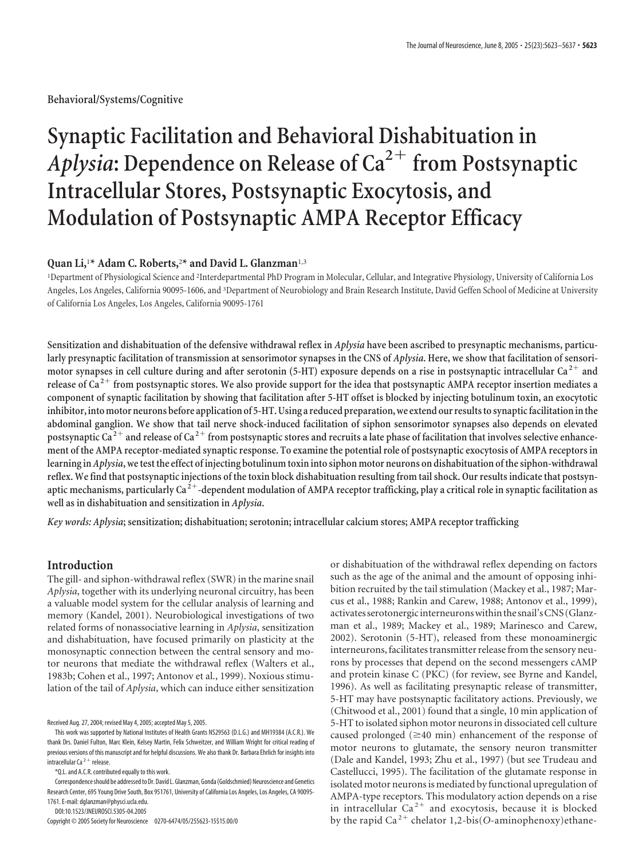**Behavioral/Systems/Cognitive**

# **Synaptic Facilitation and Behavioral Dishabituation in** Aplysia: Dependence on Release of Ca<sup>2+</sup> from Postsynaptic **Intracellular Stores, Postsynaptic Exocytosis, and Modulation of Postsynaptic AMPA Receptor Efficacy**

# **Quan Li,**<sup>1</sup> **\* Adam C. Roberts,**<sup>2</sup> **\* and David L. Glanzman**1,3

<sup>1</sup>Department of Physiological Science and <sup>2</sup>Interdepartmental PhD Program in Molecular, Cellular, and Integrative Physiology, University of California Los Angeles, Los Angeles, California 90095-1606, and <sup>3</sup>Department of Neurobiology and Brain Research Institute, David Geffen School of Medicine at University of California Los Angeles, Los Angeles, California 90095-1761

**Sensitization and dishabituation of the defensive withdrawal reflex in** *Aplysia* **have been ascribed to presynaptic mechanisms, particularly presynaptic facilitation of transmission at sensorimotor synapses in the CNS of** *Aplysia***. Here, we show that facilitation of sensorimotor synapses in cell culture during and after serotonin (5-HT) exposure depends on a rise in postsynaptic intracellular Ca <sup>2</sup> and release of Ca <sup>2</sup> from postsynaptic stores. We also provide support for the idea that postsynaptic AMPA receptor insertion mediates a component of synaptic facilitation by showing that facilitation after 5-HT offset is blocked by injecting botulinum toxin, an exocytotic** inhibitor, into motor neurons before application of 5-HT. Using a reduced preparation, we extend our results to synaptic facilitation in the **abdominal ganglion. We show that tail nerve shock-induced facilitation of siphon sensorimotor synapses also depends on elevated** postsynaptic Ca<sup>2+</sup> and release of Ca<sup>2+</sup> from postsynaptic stores and recruits a late phase of facilitation that involves selective enhance**ment of the AMPA receptor-mediated synaptic response. To examine the potential role of postsynaptic exocytosis of AMPA receptors in learning in***Aplysia***, wetestthe effect of injecting botulinumtoxin into siphon motor neurons on dishabituation ofthe siphon-withdrawal reflex. We find that postsynaptic injections of the toxin block dishabituation resulting from tail shock. Our results indicate that postsyn**aptic mechanisms, particularly Ca<sup>2+</sup>-dependent modulation of AMPA receptor trafficking, play a critical role in synaptic facilitation as **well as in dishabituation and sensitization in** *Aplysia***.**

*Key words: Aplysia***; sensitization; dishabituation; serotonin; intracellular calcium stores; AMPA receptor trafficking**

# **Introduction**

The gill- and siphon-withdrawal reflex (SWR) in the marine snail *Aplysia*, together with its underlying neuronal circuitry, has been a valuable model system for the cellular analysis of learning and memory (Kandel, 2001). Neurobiological investigations of two related forms of nonassociative learning in *Aplysia*, sensitization and dishabituation, have focused primarily on plasticity at the monosynaptic connection between the central sensory and motor neurons that mediate the withdrawal reflex (Walters et al., 1983b; Cohen et al., 1997; Antonov et al., 1999). Noxious stimulation of the tail of *Aplysia*, which can induce either sensitization

Received Aug. 27, 2004; revised May 4, 2005; accepted May 5, 2005.

This work was supported by National Institutes of Health Grants NS29563 (D.L.G.) and MH19384 (A.C.R.). We thank Drs. Daniel Fulton, Marc Klein, Kelsey Martin, Felix Schweitzer, and William Wright for critical reading of previous versions of this manuscript and for helpful discussions. We also thank Dr. Barbara Ehrlich for insights into intracellular Ca $2^+$  release.

\*Q.L. and A.C.R. contributed equally to this work.

Correspondence should be addressed to Dr. David L. Glanzman, Gonda (Goldschmied) Neuroscience and Genetics Research Center, 695 Young Drive South, Box 951761, University of California Los Angeles, Los Angeles, CA 90095- 1761. E-mail: dglanzman@physci.ucla.edu.

DOI:10.1523/JNEUROSCI.5305-04.2005

Copyright © 2005 Society for Neuroscience 0270-6474/05/255623-15\$15.00/0

or dishabituation of the withdrawal reflex depending on factors such as the age of the animal and the amount of opposing inhibition recruited by the tail stimulation (Mackey et al., 1987; Marcus et al., 1988; Rankin and Carew, 1988; Antonov et al., 1999), activates serotonergicinterneuronswithin the snail'sCNS (Glanzman et al., 1989; Mackey et al., 1989; Marinesco and Carew, 2002). Serotonin (5-HT), released from these monoaminergic interneurons, facilitates transmitter release from the sensory neurons by processes that depend on the second messengers cAMP and protein kinase C (PKC) (for review, see Byrne and Kandel, 1996). As well as facilitating presynaptic release of transmitter, 5-HT may have postsynaptic facilitatory actions. Previously, we (Chitwood et al., 2001) found that a single, 10 min application of 5-HT to isolated siphon motor neurons in dissociated cell culture caused prolonged  $(\geq 40 \text{ min})$  enhancement of the response of motor neurons to glutamate, the sensory neuron transmitter (Dale and Kandel, 1993; Zhu et al., 1997) (but see Trudeau and Castellucci, 1995). The facilitation of the glutamate response in isolated motor neurons is mediated by functional upregulation of AMPA-type receptors. This modulatory action depends on a rise in intracellular  $Ca^{2+}$  and exocytosis, because it is blocked by the rapid Ca<sup>2+</sup> chelator 1,2-bis(*O*-aminophenoxy)ethane-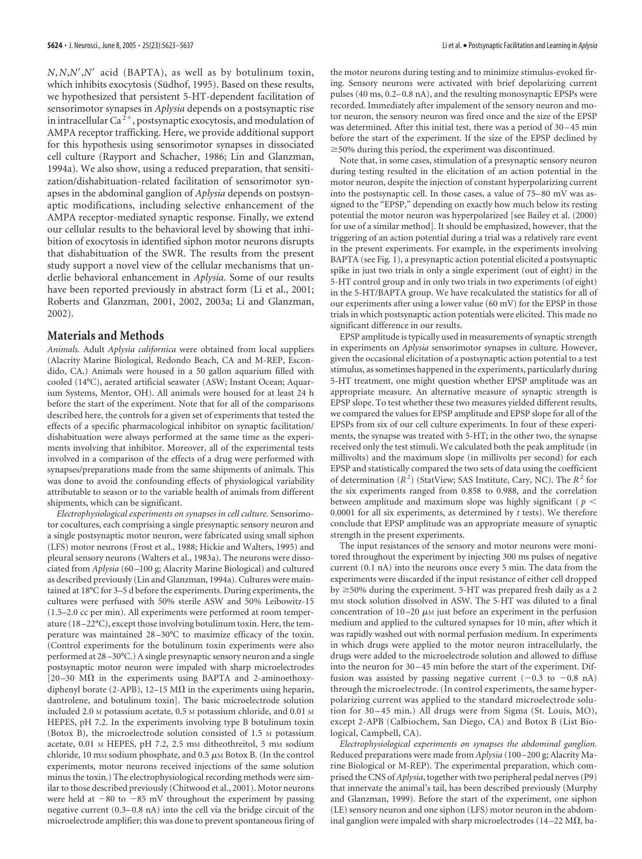*N*,*N*,*N*-,*N*- acid (BAPTA), as well as by botulinum toxin, which inhibits exocytosis (Südhof, 1995). Based on these results, we hypothesized that persistent 5-HT-dependent facilitation of sensorimotor synapses in *Aplysia* depends on a postsynaptic rise in intracellular Ca $2+$ , postsynaptic exocytosis, and modulation of AMPA receptor trafficking. Here, we provide additional support for this hypothesis using sensorimotor synapses in dissociated cell culture (Rayport and Schacher, 1986; Lin and Glanzman, 1994a). We also show, using a reduced preparation, that sensitization/dishabituation-related facilitation of sensorimotor synapses in the abdominal ganglion of *Aplysia* depends on postsynaptic modifications, including selective enhancement of the AMPA receptor-mediated synaptic response. Finally, we extend our cellular results to the behavioral level by showing that inhibition of exocytosis in identified siphon motor neurons disrupts that dishabituation of the SWR. The results from the present study support a novel view of the cellular mechanisms that underlie behavioral enhancement in *Aplysia*. Some of our results have been reported previously in abstract form (Li et al., 2001; Roberts and Glanzman, 2001, 2002, 2003a; Li and Glanzman, 2002).

# **Materials and Methods**

*Animals.* Adult *Aplysia californica* were obtained from local suppliers (Alacrity Marine Biological, Redondo Beach, CA and M-REP, Escondido, CA.) Animals were housed in a 50 gallon aquarium filled with cooled (14°C), aerated artificial seawater (ASW; Instant Ocean; Aquarium Systems, Mentor, OH). All animals were housed for at least 24 h before the start of the experiment. Note that for all of the comparisons described here, the controls for a given set of experiments that tested the effects of a specific pharmacological inhibitor on synaptic facilitation/ dishabituation were always performed at the same time as the experiments involving that inhibitor. Moreover, all of the experimental tests involved in a comparison of the effects of a drug were performed with synapses/preparations made from the same shipments of animals. This was done to avoid the confounding effects of physiological variability attributable to season or to the variable health of animals from different shipments, which can be significant.

*Electrophysiological experiments on synapses in cell culture.* Sensorimotor cocultures, each comprising a single presynaptic sensory neuron and a single postsynaptic motor neuron, were fabricated using small siphon (LFS) motor neurons (Frost et al., 1988; Hickie and Walters, 1995) and pleural sensory neurons (Walters et al., 1983a). The neurons were dissociated from *Aplysia* (60 –100 g; Alacrity Marine Biological) and cultured as described previously (Lin and Glanzman, 1994a). Cultures were maintained at 18°C for 3–5 d before the experiments. During experiments, the cultures were perfused with 50% sterile ASW and 50% Leibowitz-15 (1.5–2.0 cc per min). All experiments were performed at room temperature (18 –22°C), except those involving botulinum toxin. Here, the temperature was maintained 28 –30°C to maximize efficacy of the toxin. (Control experiments for the botulinum toxin experiments were also performed at 28 –30°C.) A single presynaptic sensory neuron and a single postsynaptic motor neuron were impaled with sharp microelectrodes [ $20-30$  M $\Omega$  in the experiments using BAPTA and 2-aminoethoxydiphenyl borate (2-APB), 12–15 M $\Omega$  in the experiments using heparin, dantrolene, and botulinum toxin]. The basic microelectrode solution included 2.0 M potassium acetate, 0.5 M potassium chloride, and 0.01 M HEPES, pH 7.2. In the experiments involving type B botulinum toxin (Botox B), the microelectrode solution consisted of 1.5 M potassium acetate, 0.01 M HEPES, pH 7.2, 2.5 mM ditheothreitol, 5 mM sodium chloride, 10 mm sodium phosphate, and 0.5  $\mu$ m Botox B. (In the control experiments, motor neurons received injections of the same solution minus the toxin.) The electrophysiological recording methods were similar to those described previously (Chitwood et al., 2001). Motor neurons were held at  $-80$  to  $-85$  mV throughout the experiment by passing negative current (0.3– 0.8 nA) into the cell via the bridge circuit of the microelectrode amplifier; this was done to prevent spontaneous firing of the motor neurons during testing and to minimize stimulus-evoked firing. Sensory neurons were activated with brief depolarizing current pulses (40 ms, 0.2– 0.8 nA), and the resulting monosynaptic EPSPs were recorded. Immediately after impalement of the sensory neuron and motor neuron, the sensory neuron was fired once and the size of the EPSP was determined. After this initial test, there was a period of 30-45 min before the start of the experiment. If the size of the EPSP declined by  $\geq$ 50% during this period, the experiment was discontinued.

Note that, in some cases, stimulation of a presynaptic sensory neuron during testing resulted in the elicitation of an action potential in the motor neuron, despite the injection of constant hyperpolarizing current into the postsynaptic cell. In those cases, a value of 75– 80 mV was assigned to the "EPSP," depending on exactly how much below its resting potential the motor neuron was hyperpolarized [see Bailey et al. (2000) for use of a similar method]. It should be emphasized, however, that the triggering of an action potential during a trial was a relatively rare event in the present experiments. For example, in the experiments involving BAPTA (see Fig. 1), a presynaptic action potential elicited a postsynaptic spike in just two trials in only a single experiment (out of eight) in the 5-HT control group and in only two trials in two experiments (of eight) in the 5-HT/BAPTA group. We have recalculated the statistics for all of our experiments after using a lower value (60 mV) for the EPSP in those trials in which postsynaptic action potentials were elicited. This made no significant difference in our results.

EPSP amplitude is typically used in measurements of synaptic strength in experiments on *Aplysia* sensorimotor synapses in culture. However, given the occasional elicitation of a postsynaptic action potential to a test stimulus, as sometimes happened in the experiments, particularly during 5-HT treatment, one might question whether EPSP amplitude was an appropriate measure. An alternative measure of synaptic strength is EPSP slope. To test whether these two measures yielded different results, we compared the values for EPSP amplitude and EPSP slope for all of the EPSPs from six of our cell culture experiments. In four of these experiments, the synapse was treated with 5-HT; in the other two, the synapse received only the test stimuli. We calculated both the peak amplitude (in millivolts) and the maximum slope (in millivolts per second) for each EPSP and statistically compared the two sets of data using the coefficient of determination ( $R^2$ ) (StatView; SAS Institute, Cary, NC). The  $R^2$  for the six experiments ranged from 0.858 to 0.988, and the correlation between amplitude and maximum slope was highly significant ( *p* 0.0001 for all six experiments, as determined by *t* tests). We therefore conclude that EPSP amplitude was an appropriate measure of synaptic strength in the present experiments.

The input resistances of the sensory and motor neurons were monitored throughout the experiment by injecting 300 ms pulses of negative current (0.1 nA) into the neurons once every 5 min. The data from the experiments were discarded if the input resistance of either cell dropped by  $\geq$ 50% during the experiment. 5-HT was prepared fresh daily as a 2 mM stock solution dissolved in ASW. The 5-HT was diluted to a final concentration of  $10-20 \mu$ M just before an experiment in the perfusion medium and applied to the cultured synapses for 10 min, after which it was rapidly washed out with normal perfusion medium. In experiments in which drugs were applied to the motor neuron intracellularly, the drugs were added to the microelectrode solution and allowed to diffuse into the neuron for 30 – 45 min before the start of the experiment. Diffusion was assisted by passing negative current  $(-0.3 \text{ to } -0.8 \text{ nA})$ through the microelectrode. (In control experiments, the same hyperpolarizing current was applied to the standard microelectrode solution for 30 – 45 min.) All drugs were from Sigma (St. Louis, MO), except 2-APB (Calbiochem, San Diego, CA) and Botox B (List Biological, Campbell, CA).

*Electrophysiological experiments on synapses the abdominal ganglion.* Reduced preparations were made from *Aplysia* (100 –200 g; Alacrity Marine Biological or M-REP). The experimental preparation, which comprised the CNS of *Aplysia*, together with two peripheral pedal nerves (P9) that innervate the animal's tail, has been described previously (Murphy and Glanzman, 1999). Before the start of the experiment, one siphon (LE) sensory neuron and one siphon (LFS) motor neuron in the abdominal ganglion were impaled with sharp microelectrodes (14-22 M $\Omega$ , ba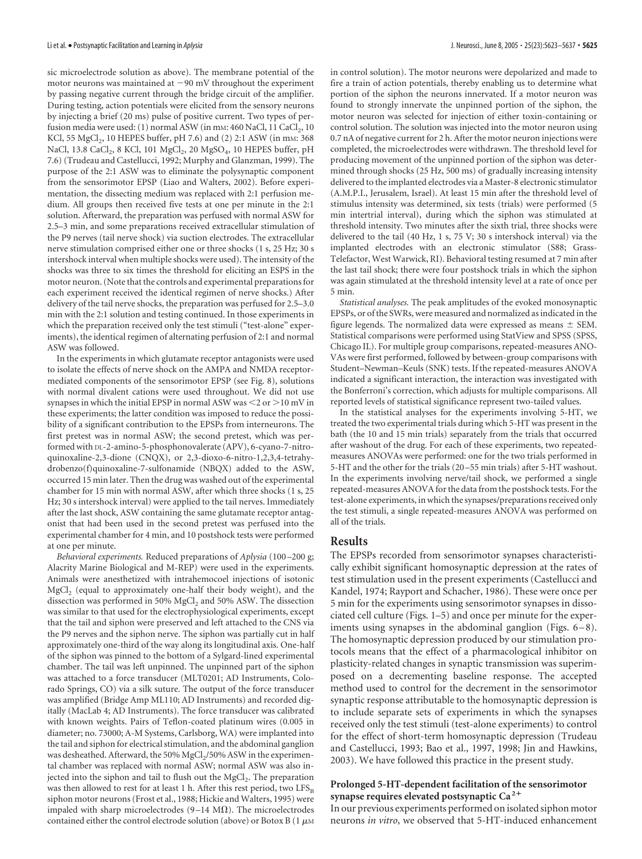sic microelectrode solution as above). The membrane potential of the motor neurons was maintained at  $-90$  mV throughout the experiment by passing negative current through the bridge circuit of the amplifier. During testing, action potentials were elicited from the sensory neurons by injecting a brief (20 ms) pulse of positive current. Two types of perfusion media were used: (1) normal ASW (in mm: 460 NaCl, 11 CaCl<sub>2</sub>, 10 KCl, 55 MgCl<sub>2</sub>, 10 HEPES buffer, pH 7.6) and (2) 2:1 ASW (in mm: 368 NaCl, 13.8 CaCl<sub>2</sub>, 8 KCl, 101 MgCl<sub>2</sub>, 20 MgSO<sub>4</sub>, 10 HEPES buffer, pH 7.6) (Trudeau and Castellucci, 1992; Murphy and Glanzman, 1999). The purpose of the 2:1 ASW was to eliminate the polysynaptic component from the sensorimotor EPSP (Liao and Walters, 2002). Before experimentation, the dissecting medium was replaced with 2:1 perfusion medium. All groups then received five tests at one per minute in the 2:1 solution. Afterward, the preparation was perfused with normal ASW for 2.5–3 min, and some preparations received extracellular stimulation of the P9 nerves (tail nerve shock) via suction electrodes. The extracellular nerve stimulation comprised either one or three shocks (1 s, 25 Hz; 30 s intershock interval when multiple shocks were used). The intensity of the shocks was three to six times the threshold for eliciting an ESPS in the motor neuron. (Note that the controls and experimental preparations for each experiment received the identical regimen of nerve shocks.) After delivery of the tail nerve shocks, the preparation was perfused for 2.5–3.0 min with the 2:1 solution and testing continued. In those experiments in which the preparation received only the test stimuli ("test-alone" experiments), the identical regimen of alternating perfusion of 2:1 and normal ASW was followed.

In the experiments in which glutamate receptor antagonists were used to isolate the effects of nerve shock on the AMPA and NMDA receptormediated components of the sensorimotor EPSP (see Fig. 8), solutions with normal divalent cations were used throughout. We did not use synapses in which the initial EPSP in normal ASW was  $\leq$  2 or  $>$  10 mV in these experiments; the latter condition was imposed to reduce the possibility of a significant contribution to the EPSPs from interneurons. The first pretest was in normal ASW; the second pretest, which was performed with DL-2-amino-5-phosphonovalerate (APV), 6-cyano-7-nitroquinoxaline-2,3-dione (CNQX), or 2,3-dioxo-6-nitro-1,2,3,4-tetrahydrobenzo(f)quinoxaline-7-sulfonamide (NBQX) added to the ASW, occurred 15 min later. Then the drug was washed out of the experimental chamber for 15 min with normal ASW, after which three shocks (1 s, 25 Hz; 30 s intershock interval) were applied to the tail nerves. Immediately after the last shock, ASW containing the same glutamate receptor antagonist that had been used in the second pretest was perfused into the experimental chamber for 4 min, and 10 postshock tests were performed at one per minute.

*Behavioral experiments.* Reduced preparations of *Aplysia* (100 –200 g; Alacrity Marine Biological and M-REP) were used in the experiments. Animals were anesthetized with intrahemocoel injections of isotonic MgCl<sub>2</sub> (equal to approximately one-half their body weight), and the dissection was performed in 50% MgCl<sub>2</sub> and 50% ASW. The dissection was similar to that used for the electrophysiological experiments, except that the tail and siphon were preserved and left attached to the CNS via the P9 nerves and the siphon nerve. The siphon was partially cut in half approximately one-third of the way along its longitudinal axis. One-half of the siphon was pinned to the bottom of a Sylgard-lined experimental chamber. The tail was left unpinned. The unpinned part of the siphon was attached to a force transducer (MLT0201; AD Instruments, Colorado Springs, CO) via a silk suture. The output of the force transducer was amplified (Bridge Amp ML110; AD Instruments) and recorded digitally (MacLab 4; AD Instruments). The force transducer was calibrated with known weights. Pairs of Teflon-coated platinum wires (0.005 in diameter; no. 73000; A-M Systems, Carlsborg, WA) were implanted into the tail and siphon for electrical stimulation, and the abdominal ganglion was desheathed. Afterward, the 50% MgCl<sub>2</sub>/50% ASW in the experimental chamber was replaced with normal ASW; normal ASW was also injected into the siphon and tail to flush out the  $MgCl<sub>2</sub>$ . The preparation was then allowed to rest for at least 1 h. After this rest period, two  $LFS_B$ siphon motor neurons (Frost et al., 1988; Hickie and Walters, 1995) were impaled with sharp microelectrodes (9-14 M $\Omega$ ). The microelectrodes contained either the control electrode solution (above) or Botox B (1  $\mu$ m

in control solution). The motor neurons were depolarized and made to fire a train of action potentials, thereby enabling us to determine what portion of the siphon the neurons innervated. If a motor neuron was found to strongly innervate the unpinned portion of the siphon, the motor neuron was selected for injection of either toxin-containing or control solution. The solution was injected into the motor neuron using 0.7 nA of negative current for 2 h. After the motor neuron injections were completed, the microelectrodes were withdrawn. The threshold level for producing movement of the unpinned portion of the siphon was determined through shocks (25 Hz, 500 ms) of gradually increasing intensity delivered to the implanted electrodes via a Master-8 electronic stimulator (A.M.P.I., Jerusalem, Israel). At least 15 min after the threshold level of stimulus intensity was determined, six tests (trials) were performed (5 min intertrial interval), during which the siphon was stimulated at threshold intensity. Two minutes after the sixth trial, three shocks were delivered to the tail (40 Hz, 1 s, 75 V; 30 s intershock interval) via the implanted electrodes with an electronic stimulator (S88; Grass-Telefactor, West Warwick, RI). Behavioral testing resumed at 7 min after the last tail shock; there were four postshock trials in which the siphon was again stimulated at the threshold intensity level at a rate of once per 5 min.

*Statistical analyses.* The peak amplitudes of the evoked monosynaptic EPSPs, or of the SWRs, were measured and normalized as indicated in the figure legends. The normalized data were expressed as means  $\pm$  SEM. Statistical comparisons were performed using StatView and SPSS (SPSS, Chicago IL). For multiple group comparisons, repeated-measures ANO-VAs were first performed, followed by between-group comparisons with Student–Newman–Keuls (SNK) tests. If the repeated-measures ANOVA indicated a significant interaction, the interaction was investigated with the Bonferroni's correction, which adjusts for multiple comparisons. All reported levels of statistical significance represent two-tailed values.

In the statistical analyses for the experiments involving 5-HT, we treated the two experimental trials during which 5-HT was present in the bath (the 10 and 15 min trials) separately from the trials that occurred after washout of the drug. For each of these experiments, two repeatedmeasures ANOVAs were performed: one for the two trials performed in 5-HT and the other for the trials (20 –55 min trials) after 5-HT washout. In the experiments involving nerve/tail shock, we performed a single repeated-measures ANOVA for the data from the postshock tests. For the test-alone experiments, in which the synapses/preparations received only the test stimuli, a single repeated-measures ANOVA was performed on all of the trials.

### **Results**

The EPSPs recorded from sensorimotor synapses characteristically exhibit significant homosynaptic depression at the rates of test stimulation used in the present experiments (Castellucci and Kandel, 1974; Rayport and Schacher, 1986). These were once per 5 min for the experiments using sensorimotor synapses in dissociated cell culture (Figs. 1–5) and once per minute for the experiments using synapses in the abdominal ganglion (Figs.  $6-8$ ). The homosynaptic depression produced by our stimulation protocols means that the effect of a pharmacological inhibitor on plasticity-related changes in synaptic transmission was superimposed on a decrementing baseline response. The accepted method used to control for the decrement in the sensorimotor synaptic response attributable to the homosynaptic depression is to include separate sets of experiments in which the synapses received only the test stimuli (test-alone experiments) to control for the effect of short-term homosynaptic depression (Trudeau and Castellucci, 1993; Bao et al., 1997, 1998; Jin and Hawkins, 2003). We have followed this practice in the present study.

#### **Prolonged 5-HT-dependent facilitation of the sensorimotor synapse requires elevated postsynaptic Ca <sup>2</sup>**

In our previous experiments performed on isolated siphon motor neurons *in vitro*, we observed that 5-HT-induced enhancement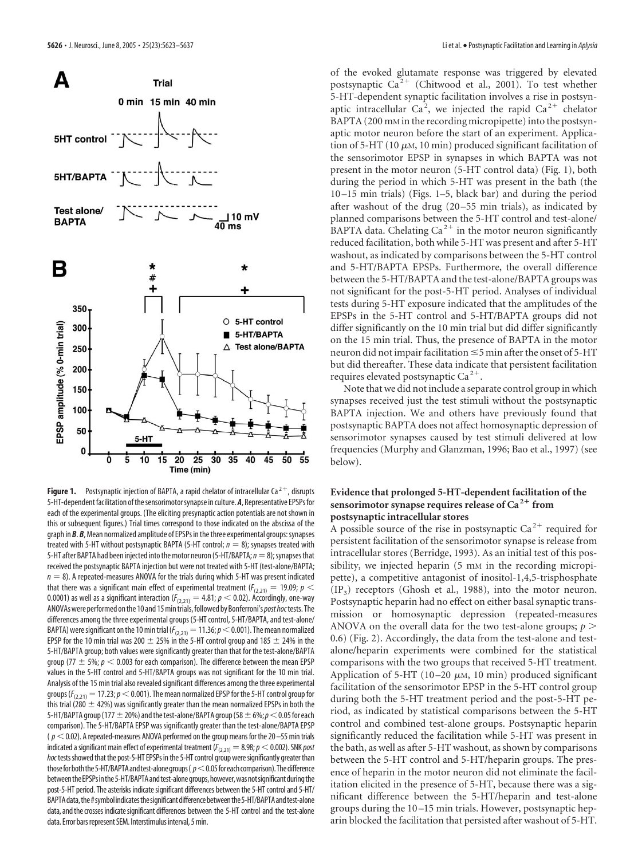

**Figure 1.** Postsynaptic injection of BAPTA, a rapid chelator of intracellular Ca<sup>2+</sup>, disrupts 5-HT-dependent facilitation ofthesensorimotorsynapse in culture. *A*, Representative EPSPs for each of the experimental groups. (The eliciting presynaptic action potentials are not shown in this or subsequent figures.) Trial times correspond to those indicated on the abscissa of the graph in *B. B*, Mean normalized amplitude of EPSPs in the three experimental groups: synapses treated with 5-HT without postsynaptic BAPTA (5-HT control;  $n = 8$ ); synapses treated with 5-HT after BAPTA had been injected into the motor neuron (5-HT/BAPTA;  $n = 8$ ); synapses that received the postsynaptic BAPTA injection but were not treated with 5-HT (test-alone/BAPTA;  $n = 8$ ). A repeated-measures ANOVA for the trials during which 5-HT was present indicated that there was a significant main effect of experimental treatment ( $F_{(2,21)} = 19.09; p <$ 0.0001) as well as a significant interaction ( $F_{(2,21)} = 4.81; p < 0.02$ ). Accordingly, one-way ANOVAswere performed onthe 10 and 15mintrials,followed byBonferroni's*post hoc*tests. The differences among the three experimental groups (5-HT control, 5-HT/BAPTA, and test-alone/ BAPTA) were significant on the 10 min trial ( $F_{(2,21)}=11.36$ ;  $p<0.001$ ). The mean normalized EPSP for the 10 min trial was 200  $\pm$  25% in the 5-HT control group and 185  $\pm$  24% in the 5-HT/BAPTA group; both values were significantly greater than that for the test-alone/BAPTA group (77  $\pm$  5%;  $p < 0.003$  for each comparison). The difference between the mean EPSP values in the 5-HT control and 5-HT/BAPTA groups was not significant for the 10 min trial. Analysis of the 15 min trial also revealed significant differences among the three experimental groups ( $F_{(2,21)} = 17.23$ ;  $p < 0.001$ ). The mean normalized EPSP for the 5-HT control group for this trial (280  $\pm$  42%) was significantly greater than the mean normalized EPSPs in both the 5-HT/BAPTA group (177  $\pm$  20%) and the test-alone/BAPTA group (58  $\pm$  6%;  $p$  < 0.05 for each comparison). The 5-HT/BAPTA EPSP was significantly greater than the test-alone/BAPTA EPSP  $(p<$  0.02). A repeated-measures ANOVA performed on the group means for the 20 – 55 min trials indicated a significant main effect of experimental treatment ( $F_{(2,21)} = 8.98; p < 0.002$ ). SNK *post* hoc tests showed that the post-5-HT EPSPs in the 5-HT control group were significantly greater than those for both the 5-HT/BAPTA and test-alone groups ( $p<$  0.05 for each comparison). The difference between the EPSPs in the 5-HT/BAPTA and test-alone groups, however, was not significant during the post-5-HT period. The asterisks indicate significant differences between the 5-HT control and 5-HT/ BAPTA data, the #symbol indicates the significant difference between the 5-HT/BAPTA and test-alone data, and the crosses indicate significant differences between the 5-HT control and the test-alone data. Error bars represent SEM. Interstimulus interval, 5 min.

of the evoked glutamate response was triggered by elevated postsynaptic  $Ca^{2+}$  (Chitwood et al., 2001). To test whether 5-HT-dependent synaptic facilitation involves a rise in postsynaptic intracellular Ca<sup>2</sup>, we injected the rapid Ca<sup>2+</sup> chelator BAPTA (200 mM in the recording micropipette) into the postsynaptic motor neuron before the start of an experiment. Application of 5-HT (10  $\mu$ m, 10 min) produced significant facilitation of the sensorimotor EPSP in synapses in which BAPTA was not present in the motor neuron (5-HT control data) (Fig. 1), both during the period in which 5-HT was present in the bath (the 10 –15 min trials) (Figs. 1–5, black bar) and during the period after washout of the drug (20 –55 min trials), as indicated by planned comparisons between the 5-HT control and test-alone/ BAPTA data. Chelating  $Ca^{2+}$  in the motor neuron significantly reduced facilitation, both while 5-HT was present and after 5-HT washout, as indicated by comparisons between the 5-HT control and 5-HT/BAPTA EPSPs. Furthermore, the overall difference between the 5-HT/BAPTA and the test-alone/BAPTA groups was not significant for the post-5-HT period. Analyses of individual tests during 5-HT exposure indicated that the amplitudes of the EPSPs in the 5-HT control and 5-HT/BAPTA groups did not differ significantly on the 10 min trial but did differ significantly on the 15 min trial. Thus, the presence of BAPTA in the motor neuron did not impair facilitation  $\leq$ 5 min after the onset of 5-HT but did thereafter. These data indicate that persistent facilitation requires elevated postsynaptic  $Ca^{2+}$ .

Note that we did not include a separate control group in which synapses received just the test stimuli without the postsynaptic BAPTA injection. We and others have previously found that postsynaptic BAPTA does not affect homosynaptic depression of sensorimotor synapses caused by test stimuli delivered at low frequencies (Murphy and Glanzman, 1996; Bao et al., 1997) (see below).

# **Evidence that prolonged 5-HT-dependent facilitation of the sensorimotor synapse requires release of Ca <sup>2</sup> from postsynaptic intracellular stores**

A possible source of the rise in postsynaptic  $Ca^{2+}$  required for persistent facilitation of the sensorimotor synapse is release from intracellular stores (Berridge, 1993). As an initial test of this possibility, we injected heparin (5 mm in the recording micropipette), a competitive antagonist of inositol-1,4,5-trisphosphate  $(\text{IP}_3)$  receptors (Ghosh et al., 1988), into the motor neuron. Postsynaptic heparin had no effect on either basal synaptic transmission or homosynaptic depression (repeated-measures ANOVA on the overall data for the two test-alone groups; *p* 0.6) (Fig. 2). Accordingly, the data from the test-alone and testalone/heparin experiments were combined for the statistical comparisons with the two groups that received 5-HT treatment. Application of 5-HT (10–20  $\mu$ м, 10 min) produced significant facilitation of the sensorimotor EPSP in the 5-HT control group during both the 5-HT treatment period and the post-5-HT period, as indicated by statistical comparisons between the 5-HT control and combined test-alone groups. Postsynaptic heparin significantly reduced the facilitation while 5-HT was present in the bath, as well as after 5-HT washout, as shown by comparisons between the 5-HT control and 5-HT/heparin groups. The presence of heparin in the motor neuron did not eliminate the facilitation elicited in the presence of 5-HT, because there was a significant difference between the 5-HT/heparin and test-alone groups during the 10 –15 min trials. However, postsynaptic heparin blocked the facilitation that persisted after washout of 5-HT.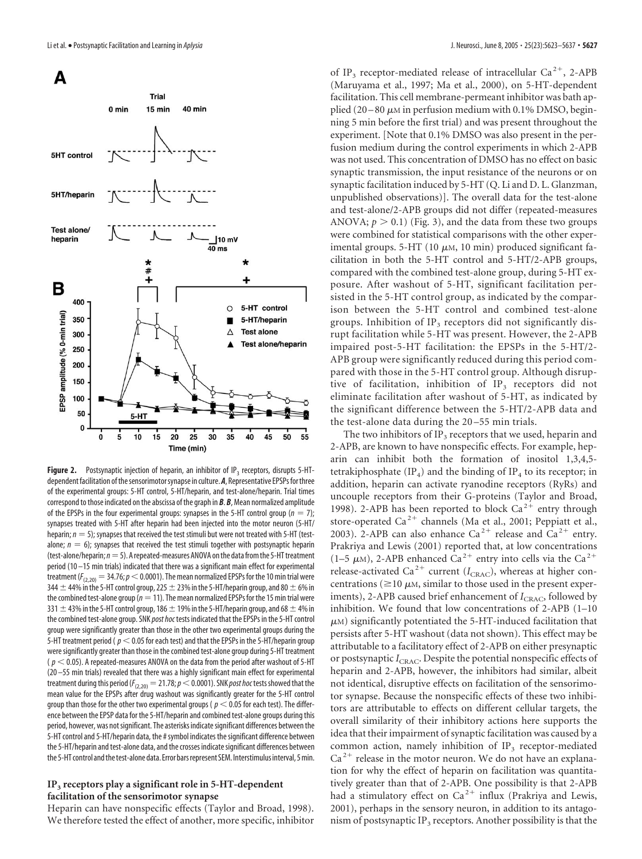

**Figure 2.** Postsynaptic injection of heparin, an inhibitor of IP<sub>3</sub> receptors, disrupts 5-HTdependent facilitation of the sensorimotor synapse in culture. *A*, Representative EPSPs for three of the experimental groups: 5-HT control, 5-HT/heparin, and test-alone/heparin. Trial times correspond to those indicated on the abscissa of the graph in *B*. *B*, Mean normalized amplitude of the EPSPs in the four experimental groups: synapses in the 5-HT control group  $(n = 7)$ ; synapses treated with 5-HT after heparin had been injected into the motor neuron (5-HT/ heparin;  $n = 5$ ); synapses that received the test stimuli but were not treated with 5-HT (testalone;  $n = 6$ ); synapses that received the test stimuli together with postsynaptic heparin (test-alone/heparin;  $n=5$ ). A repeated-measures ANOVA on the data from the 5-HT treatment period (10 –15 min trials) indicated that there was a significant main effect for experimental treatment ( $F_{(2,20)}=34.76; p<0.0001$ ). The mean normalized EPSPs for the 10 min trial were 344  $\pm$  44% in the 5-HT control group, 225  $\pm$  23% in the 5-HT/heparin group, and 80  $\pm$  6% in the combined test-alone group ( $n=11$ ). The mean normalized EPSPs for the 15 min trial were 331  $\pm$  43% in the 5-HT control group, 186  $\pm$  19% in the 5-HT/heparin group, and 68  $\pm$  4% in the combined test-alone group. SNK *post hoc* tests indicated that the EPSPs in the 5-HT control group were significantly greater than those in the other two experimental groups during the 5-HT treatment period ( $p < 0.05$  for each test) and that the EPSPs in the 5-HT/heparin group were significantly greater than those in the combined test-alone group during 5-HT treatment ( $p < 0.05$ ). A repeated-measures ANOVA on the data from the period after washout of 5-HT (20 –55 min trials) revealed that there was a highly significant main effect for experimental treatment during this period ( $F_{(2,20)}=21.78$ ;  $p<0.0001$ ). SNK *post hoc* tests showed that the mean value for the EPSPs after drug washout was significantly greater for the 5-HT control group than those for the other two experimental groups ( $p < 0.05$  for each test). The difference between the EPSP data for the 5-HT/heparin and combined test-alone groups during this period, however, was not significant. The asterisks indicate significant differences between the 5-HT control and 5-HT/heparin data, the # symbol indicates the significant difference between the 5-HT/heparin and test-alone data, and the crosses indicate significant differences between the 5-HT control and the test-alone data. Error bars represent SEM. Interstimulus interval, 5 min.

### **IP3 receptors play a significant role in 5-HT-dependent facilitation of the sensorimotor synapse**

Heparin can have nonspecific effects (Taylor and Broad, 1998). We therefore tested the effect of another, more specific, inhibitor of IP<sub>3</sub> receptor-mediated release of intracellular Ca<sup>2+</sup>, 2-APB (Maruyama et al., 1997; Ma et al., 2000), on 5-HT-dependent facilitation. This cell membrane-permeant inhibitor was bath applied (20–80  $\mu$ m in perfusion medium with 0.1% DMSO, beginning 5 min before the first trial) and was present throughout the experiment. [Note that 0.1% DMSO was also present in the perfusion medium during the control experiments in which 2-APB was not used. This concentration of DMSO has no effect on basic synaptic transmission, the input resistance of the neurons or on synaptic facilitation induced by 5-HT (Q. Li and D. L. Glanzman, unpublished observations)]. The overall data for the test-alone and test-alone/2-APB groups did not differ (repeated-measures ANOVA;  $p > 0.1$ ) (Fig. 3), and the data from these two groups were combined for statistical comparisons with the other experimental groups. 5-HT (10  $\mu$ m, 10 min) produced significant facilitation in both the 5-HT control and 5-HT/2-APB groups, compared with the combined test-alone group, during 5-HT exposure. After washout of 5-HT, significant facilitation persisted in the 5-HT control group, as indicated by the comparison between the 5-HT control and combined test-alone groups. Inhibition of  $IP_3$  receptors did not significantly disrupt facilitation while 5-HT was present. However, the 2-APB impaired post-5-HT facilitation: the EPSPs in the 5-HT/2- APB group were significantly reduced during this period compared with those in the 5-HT control group. Although disruptive of facilitation, inhibition of  $IP_3$  receptors did not eliminate facilitation after washout of 5-HT, as indicated by the significant difference between the 5-HT/2-APB data and the test-alone data during the 20 –55 min trials.

The two inhibitors of IP<sub>3</sub> receptors that we used, heparin and 2-APB, are known to have nonspecific effects. For example, heparin can inhibit both the formation of inositol 1,3,4,5 tetrakiphosphate  $(\text{IP}_4)$  and the binding of  $\text{IP}_4$  to its receptor; in addition, heparin can activate ryanodine receptors (RyRs) and uncouple receptors from their G-proteins (Taylor and Broad, 1998). 2-APB has been reported to block  $Ca^{2+}$  entry through store-operated Ca<sup>2+</sup> channels (Ma et al., 2001; Peppiatt et al., 2003). 2-APB can also enhance  $Ca^{2+}$  release and  $Ca^{2+}$  entry. Prakriya and Lewis (2001) reported that, at low concentrations (1–5  $\mu$ M), 2-APB enhanced Ca<sup>2+</sup> entry into cells via the Ca<sup>2+</sup> release-activated Ca<sup>2+</sup> current ( $I_{\text{CRAC}}$ ), whereas at higher concentrations ( $\geq$ 10  $\mu$ M, similar to those used in the present experiments), 2-APB caused brief enhancement of  $I_{CRAC}$ , followed by inhibition. We found that low concentrations of 2-APB (1–10  $\mu$ м) significantly potentiated the 5-HT-induced facilitation that persists after 5-HT washout (data not shown). This effect may be attributable to a facilitatory effect of 2-APB on either presynaptic or postsynaptic *I*<sub>CRAC</sub>. Despite the potential nonspecific effects of heparin and 2-APB, however, the inhibitors had similar, albeit not identical, disruptive effects on facilitation of the sensorimotor synapse. Because the nonspecific effects of these two inhibitors are attributable to effects on different cellular targets, the overall similarity of their inhibitory actions here supports the idea that their impairment of synaptic facilitation was caused by a common action, namely inhibition of  $IP<sub>3</sub>$  receptor-mediated  $Ca<sup>2+</sup>$  release in the motor neuron. We do not have an explanation for why the effect of heparin on facilitation was quantitatively greater than that of 2-APB. One possibility is that 2-APB had a stimulatory effect on  $Ca^{2+}$  influx (Prakriya and Lewis, 2001), perhaps in the sensory neuron, in addition to its antagonism of postsynaptic IP<sub>3</sub> receptors. Another possibility is that the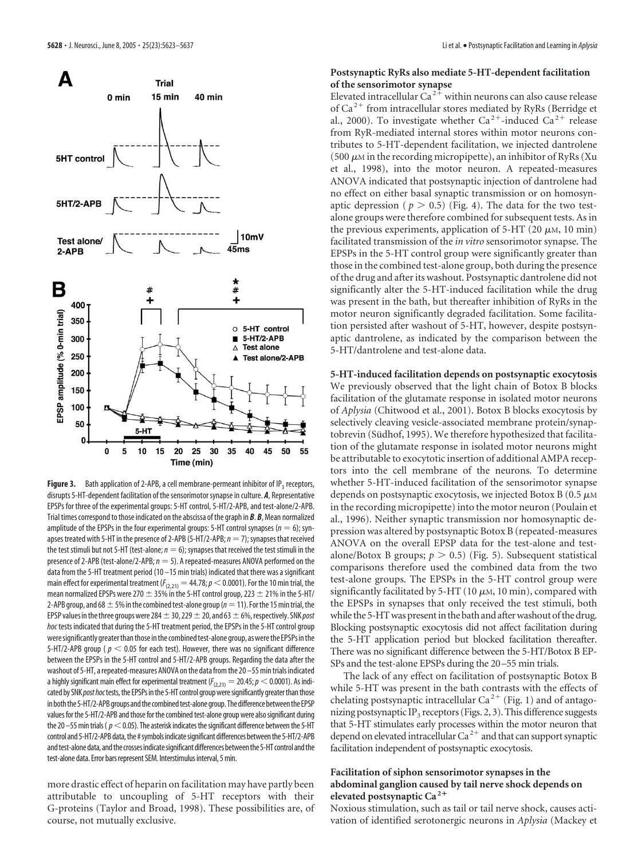

**Figure 3.** Bath application of 2-APB, a cell membrane-permeant inhibitor of IP<sub>3</sub> receptors, disrupts 5-HT-dependent facilitation of the sensorimotor synapse in culture. *A*, Representative EPSPs for three of the experimental groups: 5-HT control, 5-HT/2-APB, and test-alone/2-APB. Trial times correspond to those indicated on the abscissa of the graph in *B*. *B*, Mean normalized amplitude of the EPSPs in the four experimental groups: 5-HT control synapses ( $n = 6$ ); synapses treated with 5-HT in the presence of 2-APB (5-HT/2-APB;  $n = 7$ ); synapses that received the test stimuli but not 5-HT (test-alone;  $n = 6$ ); synapses that received the test stimuli in the presence of 2-APB (test-alone/2-APB;*n* 5). A repeated-measures ANOVA performed on the data from the 5-HT treatment period (10 –15 min trials) indicated that there was a significant main effect for experimental treatment ( $F_{(2,21)} = 44.78; p < 0.0001$ ). For the 10 min trial, the mean normalized EPSPs were 270  $\pm$  35% in the 5-HT control group, 223  $\pm$  21% in the 5-HT/ 2-APB group, and 68  $\pm$  5% in the combined test-alone group ( $n=11$ ). For the 15 min trial, the EPSP values in the three groups were 284  $\pm$  30, 229  $\pm$  20, and 63  $\pm$  6%, respectively. SNK *post hoc* tests indicated that during the 5-HT treatment period, the EPSPs in the 5-HT control group were significantly greater than those in the combined test-alone group, as were the EPSPs in the 5-HT/2-APB group ( $p < 0.05$  for each test). However, there was no significant difference between the EPSPs in the 5-HT control and 5-HT/2-APB groups. Regarding the data after the washout of 5-HT, a repeated-measures ANOVA on the data from the 20 -55 min trials indicated a highly significant main effect for experimental treatment  $(F_{(2,21)} = 20.45; p < 0.0001$ ). As indicated by SNK post hoc tests, the EPSPs in the 5-HT control group were significantly greater than those in both the 5-HT/2-APB groups and the combined test-alone group. The difference between the EPSP values for the 5-HT/2-APB and those for the combined test-alone group were also significant during the 20 $-$ 55 min trials ( $p<$  0.05). The asterisk indicates the significant difference between the 5-HT control and 5-HT/2-APB data, the #symbols indicate significant differences between the 5-HT/2-APB and test-alone data, and the crosses indicate significant differences between the 5-HT control and the test-alone data. Error bars represent SEM. Interstimulus interval, 5 min.

more drastic effect of heparin on facilitation may have partly been attributable to uncoupling of 5-HT receptors with their G-proteins (Taylor and Broad, 1998). These possibilities are, of course, not mutually exclusive.

# **Postsynaptic RyRs also mediate 5-HT-dependent facilitation of the sensorimotor synapse**

Elevated intracellular  $Ca^{2+}$  within neurons can also cause release of  $Ca^{2+}$  from intracellular stores mediated by RyRs (Berridge et al., 2000). To investigate whether  $Ca^{2+}$ -induced  $Ca^{2+}$  release from RyR-mediated internal stores within motor neurons contributes to 5-HT-dependent facilitation, we injected dantrolene (500  $\mu$ M in the recording micropipette), an inhibitor of RyRs (Xu et al., 1998), into the motor neuron. A repeated-measures ANOVA indicated that postsynaptic injection of dantrolene had no effect on either basal synaptic transmission or on homosynaptic depression ( $p > 0.5$ ) (Fig. 4). The data for the two testalone groups were therefore combined for subsequent tests. As in the previous experiments, application of  $5-HT$  (20  $\mu$ M, 10 min) facilitated transmission of the *in vitro* sensorimotor synapse. The EPSPs in the 5-HT control group were significantly greater than those in the combined test-alone group, both during the presence of the drug and after its washout. Postsynaptic dantrolene did not significantly alter the 5-HT-induced facilitation while the drug was present in the bath, but thereafter inhibition of RyRs in the motor neuron significantly degraded facilitation. Some facilitation persisted after washout of 5-HT, however, despite postsynaptic dantrolene, as indicated by the comparison between the 5-HT/dantrolene and test-alone data.

**5-HT-induced facilitation depends on postsynaptic exocytosis** We previously observed that the light chain of Botox B blocks facilitation of the glutamate response in isolated motor neurons of *Aplysia* (Chitwood et al., 2001). Botox B blocks exocytosis by selectively cleaving vesicle-associated membrane protein/synaptobrevin (Südhof, 1995). We therefore hypothesized that facilitation of the glutamate response in isolated motor neurons might be attributable to exocytotic insertion of additional AMPA receptors into the cell membrane of the neurons. To determine whether 5-HT-induced facilitation of the sensorimotor synapse depends on postsynaptic exocytosis, we injected Botox B (0.5  $\mu$ m in the recording micropipette) into the motor neuron (Poulain et al., 1996). Neither synaptic transmission nor homosynaptic depression was altered by postsynaptic Botox B (repeated-measures ANOVA on the overall EPSP data for the test-alone and testalone/Botox B groups;  $p > 0.5$ ) (Fig. 5). Subsequent statistical comparisons therefore used the combined data from the two test-alone groups. The EPSPs in the 5-HT control group were significantly facilitated by 5-HT (10  $\mu$ m, 10 min), compared with the EPSPs in synapses that only received the test stimuli, both while the 5-HT was present in the bath and after washout of the drug. Blocking postsynaptic exocytosis did not affect facilitation during the 5-HT application period but blocked facilitation thereafter. There was no significant difference between the 5-HT/Botox B EP-SPs and the test-alone EPSPs during the 20 –55 min trials.

The lack of any effect on facilitation of postsynaptic Botox B while 5-HT was present in the bath contrasts with the effects of chelating postsynaptic intracellular Ca<sup>2+</sup> (Fig. 1) and of antagonizing postsynaptic IP<sub>3</sub> receptors (Figs. 2, 3). This difference suggests that 5-HT stimulates early processes within the motor neuron that depend on elevated intracellular  $Ca^{2+}$  and that can support synaptic facilitation independent of postsynaptic exocytosis.

### **Facilitation of siphon sensorimotor synapses in the abdominal ganglion caused by tail nerve shock depends on elevated postsynaptic Ca <sup>2</sup>**

Noxious stimulation, such as tail or tail nerve shock, causes activation of identified serotonergic neurons in *Aplysia* (Mackey et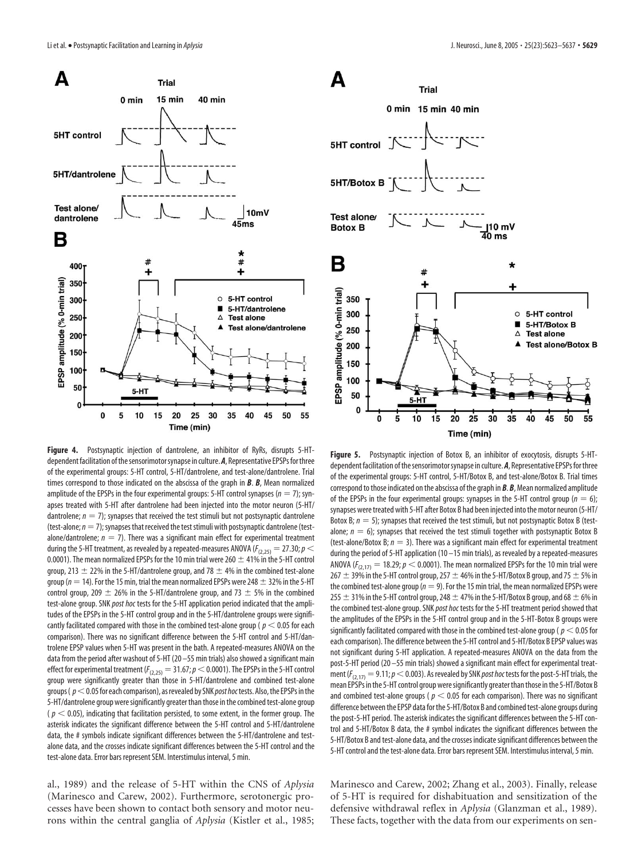

**Figure 4.** Postsynaptic injection of dantrolene, an inhibitor of RyRs, disrupts 5-HTdependent facilitation of the sensorimotor synapse in culture. A, Representative EPSPs for three of the experimental groups: 5-HT control, 5-HT/dantrolene, and test-alone/dantrolene. Trial times correspond to those indicated on the abscissa of the graph in *B*. *B*, Mean normalized amplitude of the EPSPs in the four experimental groups: 5-HT control synapses ( $n = 7$ ); synapses treated with 5-HT after dantrolene had been injected into the motor neuron (5-HT/ dantrolene;  $n = 7$ ); synapses that received the test stimuli but not postsynaptic dantrolene (test-alone;  $n=7$ ); synapses that received the test stimuli with postsynaptic dantrolene (testalone/dantrolene;  $n = 7$ ). There was a significant main effect for experimental treatment during the 5-HT treatment, as revealed by a repeated-measures ANOVA ( $F_{(2,25)} = 27.30; p <$ 0.0001). The mean normalized EPSPs for the 10 min trial were 260  $\pm$  41% in the 5-HT control group, 213  $\pm$  22% in the 5-HT/dantrolene group, and 78  $\pm$  4% in the combined test-alone group ( $n=14$ ). For the 15 min, trial the mean normalized EPSPs were 248  $\pm$  32% in the 5-HT control group, 209  $\pm$  26% in the 5-HT/dantrolene group, and 73  $\pm$  5% in the combined test-alone group. SNK *post hoc* tests for the 5-HT application period indicated that the amplitudes of the EPSPs in the 5-HT control group and in the 5-HT/dantrolene groups were significantly facilitated compared with those in the combined test-alone group ( $p < 0.05$  for each comparison). There was no significant difference between the 5-HT control and 5-HT/dantrolene EPSP values when 5-HT was present in the bath. A repeated-measures ANOVA on the data from the period after washout of 5-HT (20 –55 min trials) also showed a significant main effect for experimental treatment ( $F_{(2,25)} = 31.67$ ;  $p < 0.0001$ ). The EPSPs in the 5-HT control group were significantly greater than those in 5-HT/dantrolene and combined test-alone groups ( $p<$  0.05 for each comparison), as revealed by SNK *post hoc* tests. Also, the EPSPs in the 5-HT/dantrolene group were significantly greater than those in the combined test-alone group  $(p < 0.05)$ , indicating that facilitation persisted, to some extent, in the former group. The asterisk indicates the significant difference between the 5-HT control and 5-HT/dantrolene data, the # symbols indicate significant differences between the 5-HT/dantrolene and testalone data, and the crosses indicate significant differences between the 5-HT control and the test-alone data. Error bars represent SEM. Interstimulus interval, 5 min.

al., 1989) and the release of 5-HT within the CNS of *Aplysia* (Marinesco and Carew, 2002). Furthermore, serotonergic processes have been shown to contact both sensory and motor neurons within the central ganglia of *Aplysia* (Kistler et al., 1985;



**Figure 5.** Postsynaptic injection of Botox B, an inhibitor of exocytosis, disrupts 5-HTdependent facilitation of the sensorimotor synapse in culture. *A*, Representative EPSPs for three of the experimental groups: 5-HT control, 5-HT/Botox B, and test-alone/Botox B. Trial times correspond to those indicated on the abscissa of the graph in *B*. *B*, Mean normalized amplitude of the EPSPs in the four experimental groups: synapses in the 5-HT control group  $(n = 6)$ ; synapses were treated with 5-HT after Botox B had been injected into the motor neuron (5-HT/ Botox B;  $n = 5$ ); synapses that received the test stimuli, but not postsynaptic Botox B (testalone;  $n = 6$ ); synapses that received the test stimuli together with postsynaptic Botox B (test-alone/Botox B;  $n = 3$ ). There was a significant main effect for experimental treatment during the period of 5-HT application (10 –15 min trials), as revealed by a repeated-measures ANOVA ( $F_{(2,17)} = 18.29$ ;  $p < 0.0001$ ). The mean normalized EPSPs for the 10 min trial were 267  $\pm$  39% in the 5-HT control group, 257  $\pm$  46% in the 5-HT/Botox B group, and 75  $\pm$  5% in the combined test-alone group ( $n = 9$ ). For the 15 min trial, the mean normalized EPSPs were 255  $\pm$  31% in the 5-HT control group, 248  $\pm$  47% in the 5-HT/Botox B group, and 68  $\pm$  6% in the combined test-alone group. SNK *post hoc* tests for the 5-HT treatment period showed that the amplitudes of the EPSPs in the 5-HT control group and in the 5-HT-Botox B groups were significantly facilitated compared with those in the combined test-alone group ( $p < 0.05$  for each comparison). The difference between the 5-HT control and 5-HT/Botox B EPSP values was not significant during 5-HT application. A repeated-measures ANOVA on the data from the post-5-HT period (20 –55 min trials) showed a significant main effect for experimental treatment ( $F_{(2,17)} = 9.11; p < 0.003$ ). As revealed by SNK *post hoc* tests for the post-5-HT trials, the mean EPSPs inthe 5-HT control group weresignificantly greaterthanthose inthe 5-HT/Botox B and combined test-alone groups ( $p < 0.05$  for each comparison). There was no significant difference between the EPSP data for the 5-HT/Botox B and combined test-alone groups during the post-5-HT period. The asterisk indicates the significant differences between the 5-HT control and 5-HT/Botox B data, the # symbol indicates the significant differences between the 5-HT/Botox B and test-alone data, and the crosses indicatesignificant differences between the 5-HT control and the test-alone data. Error bars represent SEM. Interstimulus interval, 5 min.

Marinesco and Carew, 2002; Zhang et al., 2003). Finally, release of 5-HT is required for dishabituation and sensitization of the defensive withdrawal reflex in *Aplysia* (Glanzman et al., 1989). These facts, together with the data from our experiments on sen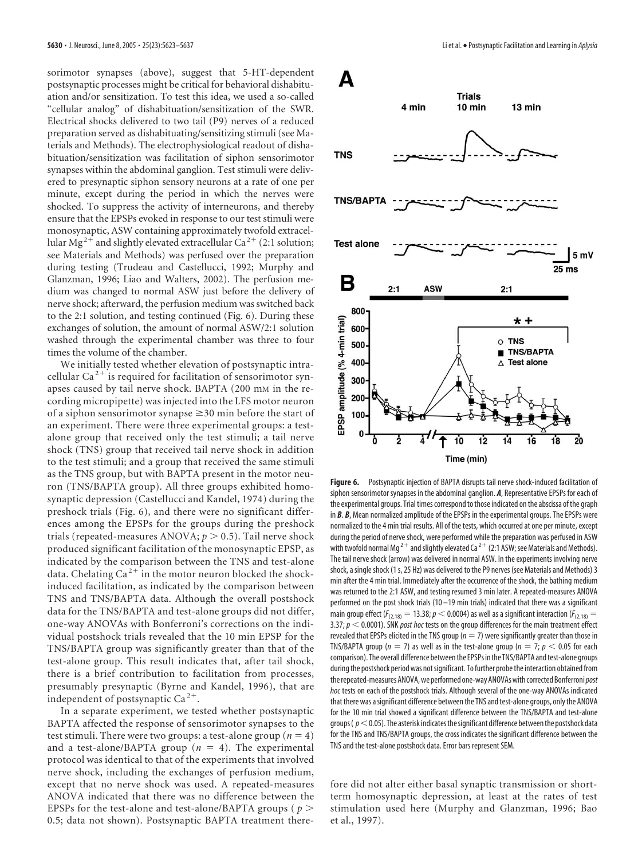sorimotor synapses (above), suggest that 5-HT-dependent postsynaptic processes might be critical for behavioral dishabituation and/or sensitization. To test this idea, we used a so-called "cellular analog" of dishabituation/sensitization of the SWR. Electrical shocks delivered to two tail (P9) nerves of a reduced preparation served as dishabituating/sensitizing stimuli (see Materials and Methods). The electrophysiological readout of dishabituation/sensitization was facilitation of siphon sensorimotor synapses within the abdominal ganglion. Test stimuli were delivered to presynaptic siphon sensory neurons at a rate of one per minute, except during the period in which the nerves were shocked. To suppress the activity of interneurons, and thereby ensure that the EPSPs evoked in response to our test stimuli were monosynaptic, ASW containing approximately twofold extracellular Mg<sup>2+</sup> and slightly elevated extracellular Ca<sup>2+</sup> (2:1 solution; see Materials and Methods) was perfused over the preparation during testing (Trudeau and Castellucci, 1992; Murphy and Glanzman, 1996; Liao and Walters, 2002). The perfusion medium was changed to normal ASW just before the delivery of nerve shock; afterward, the perfusion medium was switched back to the 2:1 solution, and testing continued (Fig. 6). During these exchanges of solution, the amount of normal ASW/2:1 solution washed through the experimental chamber was three to four times the volume of the chamber.

We initially tested whether elevation of postsynaptic intracellular Ca<sup>2+</sup> is required for facilitation of sensorimotor synapses caused by tail nerve shock. BAPTA (200 mM in the recording micropipette) was injected into the LFS motor neuron of a siphon sensorimotor synapse  $\geq$  30 min before the start of an experiment. There were three experimental groups: a testalone group that received only the test stimuli; a tail nerve shock (TNS) group that received tail nerve shock in addition to the test stimuli; and a group that received the same stimuli as the TNS group, but with BAPTA present in the motor neuron (TNS/BAPTA group). All three groups exhibited homosynaptic depression (Castellucci and Kandel, 1974) during the preshock trials (Fig. 6), and there were no significant differences among the EPSPs for the groups during the preshock trials (repeated-measures ANOVA;  $p > 0.5$ ). Tail nerve shock produced significant facilitation of the monosynaptic EPSP, as indicated by the comparison between the TNS and test-alone data. Chelating Ca<sup>2+</sup> in the motor neuron blocked the shockinduced facilitation, as indicated by the comparison between TNS and TNS/BAPTA data. Although the overall postshock data for the TNS/BAPTA and test-alone groups did not differ, one-way ANOVAs with Bonferroni's corrections on the individual postshock trials revealed that the 10 min EPSP for the TNS/BAPTA group was significantly greater than that of the test-alone group. This result indicates that, after tail shock, there is a brief contribution to facilitation from processes, presumably presynaptic (Byrne and Kandel, 1996), that are independent of postsynaptic  $Ca^{2+}$ .

In a separate experiment, we tested whether postsynaptic BAPTA affected the response of sensorimotor synapses to the test stimuli. There were two groups: a test-alone group  $(n = 4)$ and a test-alone/BAPTA group  $(n = 4)$ . The experimental protocol was identical to that of the experiments that involved nerve shock, including the exchanges of perfusion medium, except that no nerve shock was used. A repeated-measures ANOVA indicated that there was no difference between the EPSPs for the test-alone and test-alone/BAPTA groups ( *p* 0.5; data not shown). Postsynaptic BAPTA treatment there-



**Figure 6.** Postsynaptic injection of BAPTA disrupts tail nerve shock-induced facilitation of siphon sensorimotor synapses in the abdominal ganglion. *A*, Representative EPSPs for each of the experimental groups. Trial times correspond to those indicated on the abscissa of the graph in *B*. *B*, Mean normalized amplitude of the EPSPs in the experimental groups. The EPSPs were normalized to the 4 min trial results. All of the tests, which occurred at one per minute, except during the period of nerve shock, were performed while the preparation was perfused in ASW with twofold normal Mg<sup>2+</sup> and slightly elevated Ca<sup>2+</sup> (2:1 ASW; see Materials and Methods). The tail nerve shock (arrow) was delivered in normal ASW. In the experiments involving nerve shock, a single shock (1 s, 25 Hz) was delivered to the P9 nerves (see Materials and Methods) 3 min after the 4 min trial. Immediately after the occurrence of the shock, the bathing medium was returned to the 2:1 ASW, and testing resumed 3 min later. A repeated-measures ANOVA performed on the post shock trials (10 –19 min trials) indicated that there was a significant main group effect ( $F_{(2,18)} = 13.38; p < 0.0004$ ) as well as a significant interaction ( $F_{(2,18)} =$ 3.37;  $p < 0.0001$ ). SNK *post hoc* tests on the group differences for the main treatment effect revealed that EPSPs elicited in the TNS group ( $n = 7$ ) were significantly greater than those in TNS/BAPTA group ( $n = 7$ ) as well as in the test-alone group ( $n = 7$ ;  $p < 0.05$  for each comparison). The overall difference between the EPSPs in the TNS/BAPTA and test-alone groups during the postshock period was not significant. To further probe the interaction obtained from therepeated-measuresANOVA,we performed one-wayANOVAswith corrected Bonferroni*post hoc* tests on each of the postshock trials. Although several of the one-way ANOVAs indicated that there was asignificant difference between the TNS and test-alone groups, only the ANOVA for the 10 min trial showed a significant difference between the TNS/BAPTA and test-alone groups ( $p<$  0.05). The asterisk indicates the significant difference between the postshock data for the TNS and TNS/BAPTA groups, the cross indicates the significant difference between the TNS and the test-alone postshock data. Error bars represent SEM.

fore did not alter either basal synaptic transmission or shortterm homosynaptic depression, at least at the rates of test stimulation used here (Murphy and Glanzman, 1996; Bao et al., 1997).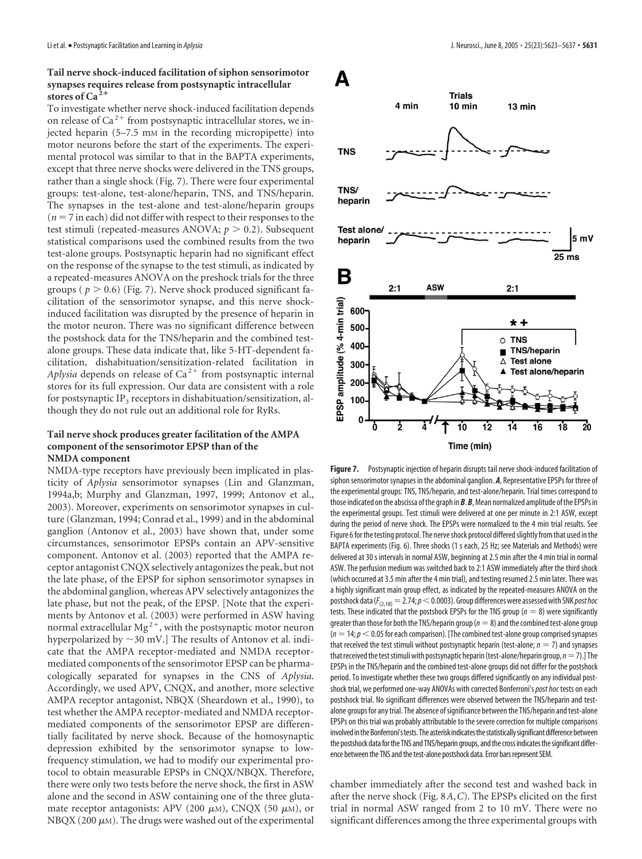# **Tail nerve shock-induced facilitation of siphon sensorimotor synapses requires release from postsynaptic intracellular stores of Ca <sup>2</sup>**

To investigate whether nerve shock-induced facilitation depends on release of  $Ca^{2+}$  from postsynaptic intracellular stores, we injected heparin (5–7.5 mM in the recording micropipette) into motor neurons before the start of the experiments. The experimental protocol was similar to that in the BAPTA experiments, except that three nerve shocks were delivered in the TNS groups, rather than a single shock (Fig. 7). There were four experimental groups: test-alone, test-alone/heparin, TNS, and TNS/heparin. The synapses in the test-alone and test-alone/heparin groups  $(n = 7$  in each) did not differ with respect to their responses to the test stimuli (repeated-measures ANOVA;  $p > 0.2$ ). Subsequent statistical comparisons used the combined results from the two test-alone groups. Postsynaptic heparin had no significant effect on the response of the synapse to the test stimuli, as indicated by a repeated-measures ANOVA on the preshock trials for the three groups ( $p > 0.6$ ) (Fig. 7). Nerve shock produced significant facilitation of the sensorimotor synapse, and this nerve shockinduced facilitation was disrupted by the presence of heparin in the motor neuron. There was no significant difference between the postshock data for the TNS/heparin and the combined testalone groups. These data indicate that, like 5-HT-dependent facilitation, dishabituation/sensitization-related facilitation in *Aplysia* depends on release of  $Ca^{2+}$  from postsynaptic internal stores for its full expression. Our data are consistent with a role for postsynaptic IP<sub>3</sub> receptors in dishabituation/sensitization, although they do not rule out an additional role for RyRs.

# **Tail nerve shock produces greater facilitation of the AMPA component of the sensorimotor EPSP than of the NMDA component**

NMDA-type receptors have previously been implicated in plasticity of *Aplysia* sensorimotor synapses (Lin and Glanzman, 1994a,b; Murphy and Glanzman, 1997, 1999; Antonov et al., 2003). Moreover, experiments on sensorimotor synapses in culture (Glanzman, 1994; Conrad et al., 1999) and in the abdominal ganglion (Antonov et al., 2003) have shown that, under some circumstances, sensorimotor EPSPs contain an APV-sensitive component. Antonov et al. (2003) reported that the AMPA receptor antagonist CNQX selectively antagonizes the peak, but not the late phase, of the EPSP for siphon sensorimotor synapses in the abdominal ganglion, whereas APV selectively antagonizes the late phase, but not the peak, of the EPSP. [Note that the experiments by Antonov et al. (2003) were performed in ASW having normal extracellular  $Mg^{2+}$ , with the postsynaptic motor neuron hyperpolarized by  $\sim$ 30 mV.] The results of Antonov et al. indicate that the AMPA receptor-mediated and NMDA receptormediated components of the sensorimotor EPSP can be pharmacologically separated for synapses in the CNS of *Aplysia*. Accordingly, we used APV, CNQX, and another, more selective AMPA receptor antagonist, NBQX (Sheardown et al., 1990), to test whether the AMPA receptor-mediated and NMDA receptormediated components of the sensorimotor EPSP are differentially facilitated by nerve shock. Because of the homosynaptic depression exhibited by the sensorimotor synapse to lowfrequency stimulation, we had to modify our experimental protocol to obtain measurable EPSPs in CNQX/NBQX. Therefore, there were only two tests before the nerve shock, the first in ASW alone and the second in ASW containing one of the three glutamate receptor antagonists: APV (200  $\mu$ M), CNQX (50  $\mu$ M), or NBQX (200  $\mu$ m). The drugs were washed out of the experimental



**Figure 7.** Postsynaptic injection of heparin disrupts tail nerve shock-induced facilitation of siphon sensorimotor synapses in the abdominal ganglion. *A*, Representative EPSPs for three of the experimental groups: TNS, TNS/heparin, and test-alone/heparin. Trial times correspond to those indicated on the abscissa of the graph in **B**. **B**, Mean normalized amplitude of the EPSPs in the experimental groups. Test stimuli were delivered at one per minute in 2:1 ASW, except during the period of nerve shock. The EPSPs were normalized to the 4 min trial results. See Figure 6 for the testing protocol. The nerve shock protocol differed slightly from that used in the BAPTA experiments (Fig. 6). Three shocks (1 s each, 25 Hz; see Materials and Methods) were delivered at 30 s intervals in normal ASW, beginning at 2.5 min after the 4 min trial in normal ASW. The perfusion medium was switched back to 2:1 ASW immediately after the third shock (which occurred at 3.5 min after the 4 min trial), and testing resumed 2.5 min later. There was a highly significant main group effect, as indicated by the repeated-measures ANOVA on the postshock data ( $F_{(2,18)}$  = 2.74;  $p$  < 0.0003). Group differences were assessed with SNK *post hoc* tests. These indicated that the postshock EPSPs for the TNS group ( $n = 8$ ) were significantly greater than those for both the TNS/heparin group ( $n=8$ ) and the combined test-alone group  $(n = 14; p < 0.05$  for each comparison). [The combined test-alone group comprised synapses that received the test stimuli without postsynaptic heparin (test-alone;  $n = 7$ ) and synapses that received the test stimuli with postsynaptic heparin (test-alone/heparin group,  $n=7$ ).] The EPSPs in the TNS/heparin and the combined test-alone groups did not differ for the postshock period. To investigate whether these two groups differed significantly on any individual postshock trial, we performed one-way ANOVAs with corrected Bonferroni's*post hoc* tests on each postshock trial. No significant differences were observed between the TNS/heparin and testalone groups for any trial. The absence of significance between the TNS/heparin and test-alone EPSPs on this trial was probably attributable to the severe correction for multiple comparisons involved in the Bonferroni's tests. The asterisk indicates the statistically significant difference between the postshock data for the TNS and TNS/heparin groups, and the cross indicates the significant difference between the TNS and the test-alone postshock data. Error bars represent SEM.

chamber immediately after the second test and washed back in after the nerve shock (Fig. 8*A*,*C*). The EPSPs elicited on the first trial in normal ASW ranged from 2 to 10 mV. There were no significant differences among the three experimental groups with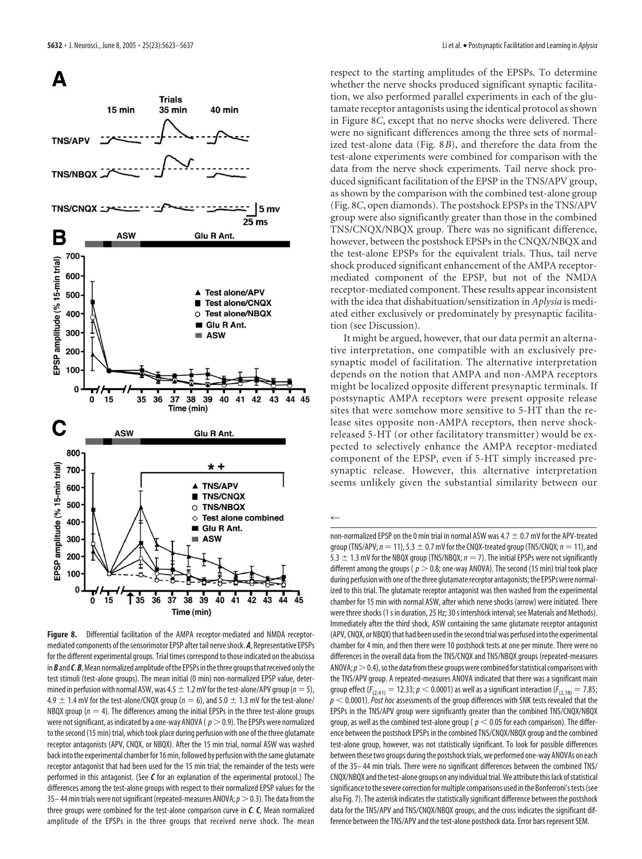

**Figure 8.** Differential facilitation of the AMPA receptor-mediated and NMDA receptormediated components of the sensorimotor EPSP after tail nerve shock. **A**, Representative EPSPs for the different experimental groups. Trial times correspond to those indicated on the abscissa in *B* and *C*. *B*, Mean normalized amplitude of the EPSPs in the three groups that received only the test stimuli (test-alone groups). The mean initial (0 min) non-normalized EPSP value, determined in perfusion with normal ASW, was  $4.5\pm1.2$  mV for the test-alone/APV group ( $n=5$ ),  $4.9 \pm 1.4$  mV for the test-alone/CNQX group ( $n = 6$ ), and 5.0  $\pm$  1.3 mV for the test-alone/ NBQX group ( $n = 4$ ). The differences among the initial EPSPs in the three test-alone groups were not significant, as indicated by a one-way ANOVA ( $p > 0.9$ ). The EPSPs were normalized to the second (15 min) trial, which took place during perfusion with one of the three glutamate receptor antagonists (APV, CNQX, or NBQX). After the 15 min trial, normal ASW was washed back into the experimental chamber for 16 min, followed by perfusion with the same glutamate receptor antagonist that had been used for the 15 min trial; the remainder of the tests were performed in this antagonist. (See *C* for an explanation of the experimental protocol.) The differences among the test-alone groups with respect to their normalized EPSP values for the 35–44 min trials were not significant (repeated-measures ANOVA;  $p>0.3$ ). The data from the three groups were combined for the test-alone comparison curve in *C*. *C*, Mean normalized amplitude of the EPSPs in the three groups that received nerve shock. The mean

respect to the starting amplitudes of the EPSPs. To determine whether the nerve shocks produced significant synaptic facilitation, we also performed parallel experiments in each of the glutamate receptor antagonists using the identical protocol as shown in Figure 8*C*, except that no nerve shocks were delivered. There were no significant differences among the three sets of normalized test-alone data (Fig. 8*B*), and therefore the data from the test-alone experiments were combined for comparison with the data from the nerve shock experiments. Tail nerve shock produced significant facilitation of the EPSP in the TNS/APV group, as shown by the comparison with the combined test-alone group (Fig. 8*C*, open diamonds). The postshock EPSPs in the TNS/APV group were also significantly greater than those in the combined TNS/CNQX/NBQX group. There was no significant difference, however, between the postshock EPSPs in the CNQX/NBQX and the test-alone EPSPs for the equivalent trials. Thus, tail nerve shock produced significant enhancement of the AMPA receptormediated component of the EPSP, but not of the NMDA receptor-mediated component. These results appear inconsistent with the idea that dishabituation/sensitization in *Aplysia* is mediated either exclusively or predominately by presynaptic facilitation (see Discussion).

It might be argued, however, that our data permit an alternative interpretation, one compatible with an exclusively presynaptic model of facilitation. The alternative interpretation depends on the notion that AMPA and non-AMPA receptors might be localized opposite different presynaptic terminals. If postsynaptic AMPA receptors were present opposite release sites that were somehow more sensitive to 5-HT than the release sites opposite non-AMPA receptors, then nerve shockreleased 5-HT (or other facilitatory transmitter) would be expected to selectively enhance the AMPA receptor-mediated component of the EPSP, even if 5-HT simply increased presynaptic release. However, this alternative interpretation seems unlikely given the substantial similarity between our

 $\leftarrow$ 

non-normalized EPSP on the 0 min trial in normal ASW was 4.7  $\pm$  0.7 mV for the APV-treated group (TNS/APV;  $n=11$ ), 5.3  $\pm$  0.7 mV for the CNQX-treated group (TNS/CNQX;  $n=11$ ), and 5.3  $\pm$  1.3 mV for the NBQX group (TNS/NBQX;  $n = 7$ ). The initial EPSPs were not significantly different among the groups ( $p > 0.8$ ; one-way ANOVA). The second (15 min) trial took place during perfusion with one of the three glutamate receptor antagonists; the EPSPs were normalized to this trial. The glutamate receptor antagonist was then washed from the experimental chamber for 15 min with normal ASW, after which nerve shocks (arrow) were initiated. There were three shocks (1 s in duration, 25 Hz; 30 s intershock interval; see Materials and Methods). Immediately after the third shock, ASW containing the same glutamate receptor antagonist (APV, CNQX, or NBQX) that had been used in the second trial was perfused into the experimental chamber for 4 min, and then there were 10 postshock tests at one per minute. There were no differences in the overall data from the TNS/CNQX and TNS/NBQX groups (repeated-measures ANOVA;  $p > 0.4$ ), so the data from these groups were combined for statistical comparisons with the TNS/APV group. A repeated-measures ANOVA indicated that there was a significant main group effect ( $F_{(2,41)} = 12.33$ ;  $p < 0.0001$ ) as well as a significant interaction ( $F_{(2,18)} = 7.85$ ; *p* 0.0001).*Post hoc* assessments of the group differences with SNK tests revealed that the EPSPs in the TNS/APV group were significantly greater than the combined TNS/CNQX/NBQX group, as well as the combined test-alone group ( $p < 0.05$  for each comparison). The difference between the postshock EPSPs in the combined TNS/CNQX/NBQX group and the combined test-alone group, however, was not statistically significant. To look for possible differences between these two groups during the postshock trials, we performed one-way ANOVAs on each of the 35– 44 min trials. There were no significant differences between the combined TNS/ CNQX/NBQX and the test-alone groups on any individual trial. We attribute this lack of statistical significance to the severe correction for multiple comparisons used in the Bonferroni's tests (see also Fig. 7). The asterisk indicates the statistically significant difference between the postshock data for the TNS/APV and TNS/CNQX/NBQX groups, and the cross indicates the significant difference between the TNS/APV and the test-alone postshock data. Error bars represent SEM.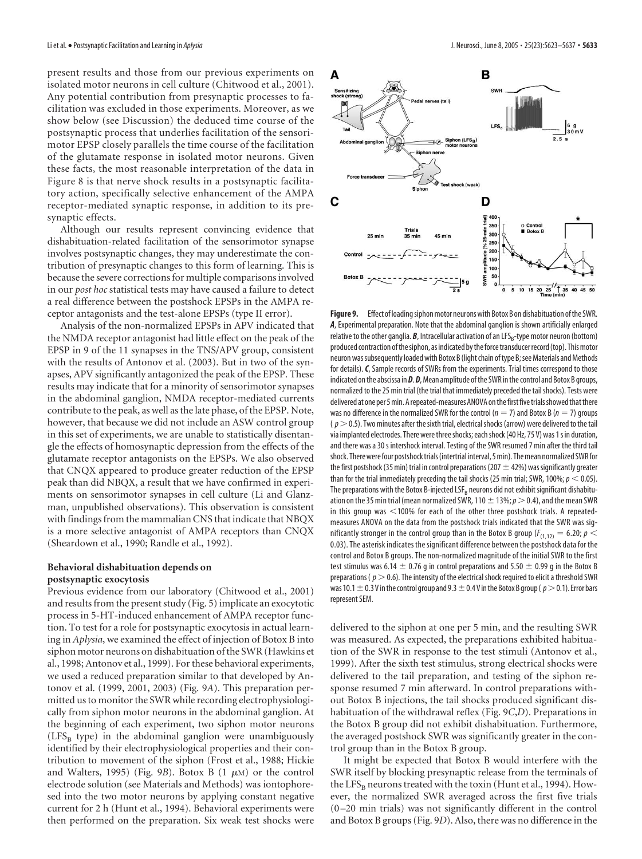present results and those from our previous experiments on isolated motor neurons in cell culture (Chitwood et al., 2001). Any potential contribution from presynaptic processes to facilitation was excluded in those experiments. Moreover, as we show below (see Discussion) the deduced time course of the postsynaptic process that underlies facilitation of the sensorimotor EPSP closely parallels the time course of the facilitation of the glutamate response in isolated motor neurons. Given these facts, the most reasonable interpretation of the data in Figure 8 is that nerve shock results in a postsynaptic facilitatory action, specifically selective enhancement of the AMPA receptor-mediated synaptic response, in addition to its presynaptic effects.

Although our results represent convincing evidence that dishabituation-related facilitation of the sensorimotor synapse involves postsynaptic changes, they may underestimate the contribution of presynaptic changes to this form of learning. This is because the severe corrections for multiple comparisons involved in our *post hoc* statistical tests may have caused a failure to detect a real difference between the postshock EPSPs in the AMPA receptor antagonists and the test-alone EPSPs (type II error).

Analysis of the non-normalized EPSPs in APV indicated that the NMDA receptor antagonist had little effect on the peak of the EPSP in 9 of the 11 synapses in the TNS/APV group, consistent with the results of Antonov et al. (2003). But in two of the synapses, APV significantly antagonized the peak of the EPSP. These results may indicate that for a minority of sensorimotor synapses in the abdominal ganglion, NMDA receptor-mediated currents contribute to the peak, as well as the late phase, of the EPSP. Note, however, that because we did not include an ASW control group in this set of experiments, we are unable to statistically disentangle the effects of homosynaptic depression from the effects of the glutamate receptor antagonists on the EPSPs. We also observed that CNQX appeared to produce greater reduction of the EPSP peak than did NBQX, a result that we have confirmed in experiments on sensorimotor synapses in cell culture (Li and Glanzman, unpublished observations). This observation is consistent with findings from the mammalian CNS that indicate that NBQX is a more selective antagonist of AMPA receptors than CNQX (Sheardown et al., 1990; Randle et al., 1992).

# **Behavioral dishabituation depends on postsynaptic exocytosis**

Previous evidence from our laboratory (Chitwood et al., 2001) and results from the present study (Fig. 5) implicate an exocytotic process in 5-HT-induced enhancement of AMPA receptor function. To test for a role for postsynaptic exocytosis in actual learning in *Aplysia*, we examined the effect of injection of Botox B into siphon motor neurons on dishabituation of the SWR (Hawkins et al., 1998; Antonov et al., 1999). For these behavioral experiments, we used a reduced preparation similar to that developed by Antonov et al. (1999, 2001, 2003) (Fig. 9*A*). This preparation permitted us to monitor the SWR while recording electrophysiologically from siphon motor neurons in the abdominal ganglion. At the beginning of each experiment, two siphon motor neurons  $(LFS<sub>B</sub>$  type) in the abdominal ganglion were unambiguously identified by their electrophysiological properties and their contribution to movement of the siphon (Frost et al., 1988; Hickie and Walters, 1995) (Fig. 9B). Botox B  $(1 \mu M)$  or the control electrode solution (see Materials and Methods) was iontophoresed into the two motor neurons by applying constant negative current for 2 h (Hunt et al., 1994). Behavioral experiments were then performed on the preparation. Six weak test shocks were



Figure 9. Effect of loading siphon motor neurons with Botox B on dishabituation of the SWR. *A*, Experimental preparation. Note that the abdominal ganglion is shown artificially enlarged relative to the other ganglia. **B**, Intracellular activation of an LFS<sub>B</sub>-type motor neuron (bottom) produced contraction of the siphon, as indicated by the force transducer record (top). This motor neuron wassubsequently loaded with Botox B(light chain oftype B;see Materials and Methods for details).*C*, Sample records of SWRs from the experiments. Trial times correspond to those indicated on the abscissa in *D. D*, Mean amplitude of the SWR in the control and Botox B groups, normalized to the 25 min trial (the trial that immediately preceded the tail shocks). Tests were delivered at one per 5 min. A repeated-measures ANOVA on the first five trials showed that there was no difference in the normalized SWR for the control ( $n = 7$ ) and Botox B ( $n = 7$ ) groups  $(p > 0.5)$ . Two minutes after the sixth trial, electrical shocks (arrow) were delivered to the tail via implanted electrodes. There were three shocks; each shock (40 Hz, 75 V) was 1 s in duration, and there was a 30 s intershock interval. Testing of the SWR resumed 7 min after the third tail shock. There were four postshock trials (intertrial interval, 5 min). The mean normalized SWR for the first postshock (35 min) trial in control preparations (207  $\pm$  42%) was significantly greater than for the trial immediately preceding the tail shocks (25 min trial; SWR, 100%;  $p < 0.05$ ). The preparations with the Botox B-injected  $LSF_B$  neurons did not exhibit significant dishabituation on the 35 min trial (mean normalized SWR, 110  $\pm$  13%;  $p$   $>$  0.4), and the mean SWR in this group was  $<$  100% for each of the other three postshock trials. A repeatedmeasures ANOVA on the data from the postshock trials indicated that the SWR was significantly stronger in the control group than in the Botox B group ( $F_{(1,12)} = 6.20$ ;  $p <$ 0.03). The asterisk indicates the significant difference between the postshock data for the control and Botox B groups. The non-normalized magnitude of the initial SWR to the first test stimulus was 6.14  $\pm$  0.76 g in control preparations and 5.50  $\pm$  0.99 g in the Botox B preparations ( $p > 0.6$ ). The intensity of the electrical shock required to elicit a threshold SWR was 10.1  $\pm$  0.3 V in the control group and 9.3  $\pm$  0.4 V in the Botox B group (  $p$   $>$  0.1). Error bars represent SEM.

delivered to the siphon at one per 5 min, and the resulting SWR was measured. As expected, the preparations exhibited habituation of the SWR in response to the test stimuli (Antonov et al., 1999). After the sixth test stimulus, strong electrical shocks were delivered to the tail preparation, and testing of the siphon response resumed 7 min afterward. In control preparations without Botox B injections, the tail shocks produced significant dishabituation of the withdrawal reflex (Fig. 9*C*,*D*). Preparations in the Botox B group did not exhibit dishabituation. Furthermore, the averaged postshock SWR was significantly greater in the control group than in the Botox B group.

It might be expected that Botox B would interfere with the SWR itself by blocking presynaptic release from the terminals of the LFS<sub>B</sub> neurons treated with the toxin (Hunt et al., 1994). However, the normalized SWR averaged across the first five trials (0 –20 min trials) was not significantly different in the control and Botox B groups (Fig. 9*D*). Also, there was no difference in the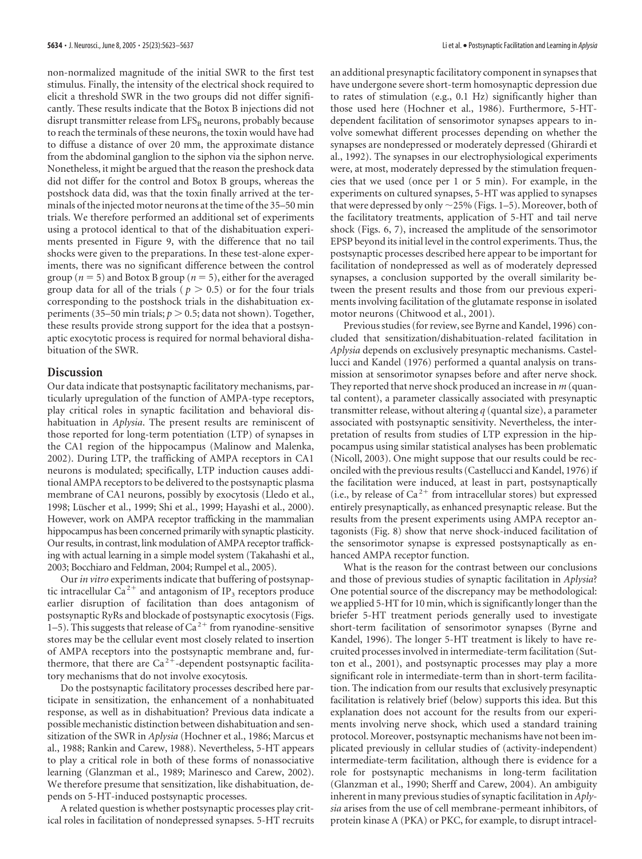non-normalized magnitude of the initial SWR to the first test stimulus. Finally, the intensity of the electrical shock required to elicit a threshold SWR in the two groups did not differ significantly. These results indicate that the Botox B injections did not disrupt transmitter release from  $LFS_B$  neurons, probably because to reach the terminals of these neurons, the toxin would have had to diffuse a distance of over 20 mm, the approximate distance from the abdominal ganglion to the siphon via the siphon nerve. Nonetheless, it might be argued that the reason the preshock data did not differ for the control and Botox B groups, whereas the postshock data did, was that the toxin finally arrived at the terminals of the injected motor neurons at the time of the 35–50 min trials. We therefore performed an additional set of experiments using a protocol identical to that of the dishabituation experiments presented in Figure 9, with the difference that no tail shocks were given to the preparations. In these test-alone experiments, there was no significant difference between the control group ( $n = 5$ ) and Botox B group ( $n = 5$ ), either for the averaged group data for all of the trials ( $p > 0.5$ ) or for the four trials corresponding to the postshock trials in the dishabituation experiments (35–50 min trials;  $p > 0.5$ ; data not shown). Together, these results provide strong support for the idea that a postsynaptic exocytotic process is required for normal behavioral dishabituation of the SWR.

#### **Discussion**

Our data indicate that postsynaptic facilitatory mechanisms, particularly upregulation of the function of AMPA-type receptors, play critical roles in synaptic facilitation and behavioral dishabituation in *Aplysia*. The present results are reminiscent of those reported for long-term potentiation (LTP) of synapses in the CA1 region of the hippocampus (Malinow and Malenka, 2002). During LTP, the trafficking of AMPA receptors in CA1 neurons is modulated; specifically, LTP induction causes additional AMPA receptors to be delivered to the postsynaptic plasma membrane of CA1 neurons, possibly by exocytosis (Lledo et al., 1998; Lüscher et al., 1999; Shi et al., 1999; Hayashi et al., 2000). However, work on AMPA receptor trafficking in the mammalian hippocampus has been concerned primarily with synaptic plasticity. Our results, in contrast, link modulation of AMPA receptor trafficking with actual learning in a simple model system (Takahashi et al., 2003; Bocchiaro and Feldman, 2004; Rumpel et al., 2005).

Our *in vitro* experiments indicate that buffering of postsynaptic intracellular Ca<sup>2+</sup> and antagonism of IP<sub>3</sub> receptors produce earlier disruption of facilitation than does antagonism of postsynaptic RyRs and blockade of postsynaptic exocytosis (Figs. 1–5). This suggests that release of  $Ca^{2+}$  from ryanodine-sensitive stores may be the cellular event most closely related to insertion of AMPA receptors into the postsynaptic membrane and, furthermore, that there are  $Ca^{2+}$ -dependent postsynaptic facilitatory mechanisms that do not involve exocytosis.

Do the postsynaptic facilitatory processes described here participate in sensitization, the enhancement of a nonhabituated response, as well as in dishabituation? Previous data indicate a possible mechanistic distinction between dishabituation and sensitization of the SWR in *Aplysia* (Hochner et al., 1986; Marcus et al., 1988; Rankin and Carew, 1988). Nevertheless, 5-HT appears to play a critical role in both of these forms of nonassociative learning (Glanzman et al., 1989; Marinesco and Carew, 2002). We therefore presume that sensitization, like dishabituation, depends on 5-HT-induced postsynaptic processes.

A related question is whether postsynaptic processes play critical roles in facilitation of nondepressed synapses. 5-HT recruits an additional presynaptic facilitatory component in synapses that have undergone severe short-term homosynaptic depression due to rates of stimulation (e.g., 0.1 Hz) significantly higher than those used here (Hochner et al., 1986). Furthermore, 5-HTdependent facilitation of sensorimotor synapses appears to involve somewhat different processes depending on whether the synapses are nondepressed or moderately depressed (Ghirardi et al., 1992). The synapses in our electrophysiological experiments were, at most, moderately depressed by the stimulation frequencies that we used (once per 1 or 5 min). For example, in the experiments on cultured synapses, 5-HT was applied to synapses that were depressed by only  $\sim$  25% (Figs. 1–5). Moreover, both of the facilitatory treatments, application of 5-HT and tail nerve shock (Figs. 6, 7), increased the amplitude of the sensorimotor EPSP beyond its initial level in the control experiments. Thus, the postsynaptic processes described here appear to be important for facilitation of nondepressed as well as of moderately depressed synapses, a conclusion supported by the overall similarity between the present results and those from our previous experiments involving facilitation of the glutamate response in isolated motor neurons (Chitwood et al., 2001).

Previous studies (for review, see Byrne and Kandel, 1996) concluded that sensitization/dishabituation-related facilitation in *Aplysia* depends on exclusively presynaptic mechanisms. Castellucci and Kandel (1976) performed a quantal analysis on transmission at sensorimotor synapses before and after nerve shock. They reported that nerve shock produced an increase in *m* (quantal content), a parameter classically associated with presynaptic transmitter release, without altering *q* (quantal size), a parameter associated with postsynaptic sensitivity. Nevertheless, the interpretation of results from studies of LTP expression in the hippocampus using similar statistical analyses has been problematic (Nicoll, 2003). One might suppose that our results could be reconciled with the previous results (Castellucci and Kandel, 1976) if the facilitation were induced, at least in part, postsynaptically (i.e., by release of  $Ca^{2+}$  from intracellular stores) but expressed entirely presynaptically, as enhanced presynaptic release. But the results from the present experiments using AMPA receptor antagonists (Fig. 8) show that nerve shock-induced facilitation of the sensorimotor synapse is expressed postsynaptically as enhanced AMPA receptor function.

What is the reason for the contrast between our conclusions and those of previous studies of synaptic facilitation in *Aplysia*? One potential source of the discrepancy may be methodological: we applied 5-HT for 10 min, which is significantly longer than the briefer 5-HT treatment periods generally used to investigate short-term facilitation of sensorimotor synapses (Byrne and Kandel, 1996). The longer 5-HT treatment is likely to have recruited processes involved in intermediate-term facilitation (Sutton et al., 2001), and postsynaptic processes may play a more significant role in intermediate-term than in short-term facilitation. The indication from our results that exclusively presynaptic facilitation is relatively brief (below) supports this idea. But this explanation does not account for the results from our experiments involving nerve shock, which used a standard training protocol. Moreover, postsynaptic mechanisms have not been implicated previously in cellular studies of (activity-independent) intermediate-term facilitation, although there is evidence for a role for postsynaptic mechanisms in long-term facilitation (Glanzman et al., 1990; Sherff and Carew, 2004). An ambiguity inherent in many previous studies of synaptic facilitation in *Aplysia* arises from the use of cell membrane-permeant inhibitors, of protein kinase A (PKA) or PKC, for example, to disrupt intracel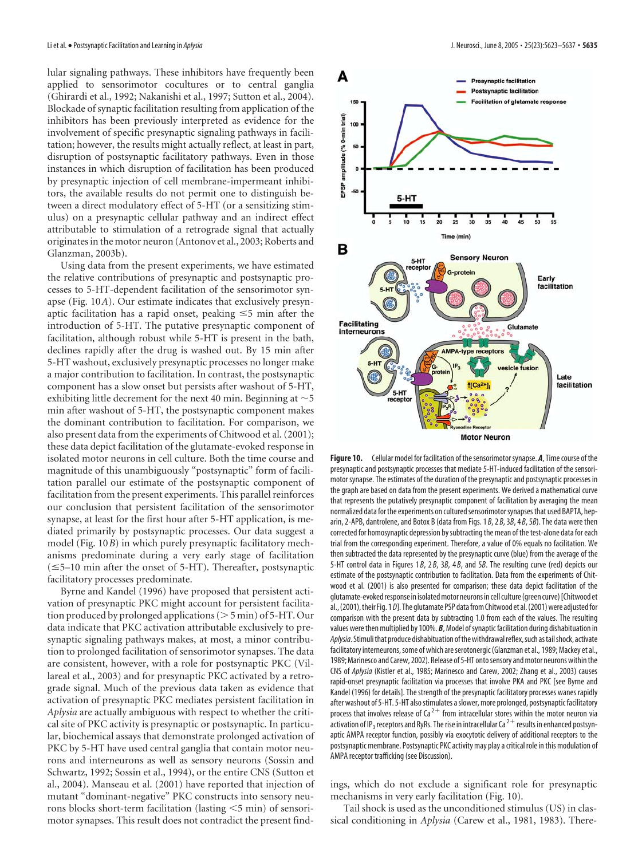lular signaling pathways. These inhibitors have frequently been applied to sensorimotor cocultures or to central ganglia (Ghirardi et al., 1992; Nakanishi et al., 1997; Sutton et al., 2004). Blockade of synaptic facilitation resulting from application of the inhibitors has been previously interpreted as evidence for the involvement of specific presynaptic signaling pathways in facilitation; however, the results might actually reflect, at least in part, disruption of postsynaptic facilitatory pathways. Even in those instances in which disruption of facilitation has been produced by presynaptic injection of cell membrane-impermeant inhibitors, the available results do not permit one to distinguish between a direct modulatory effect of 5-HT (or a sensitizing stimulus) on a presynaptic cellular pathway and an indirect effect attributable to stimulation of a retrograde signal that actually originates in the motor neuron (Antonov et al., 2003; Roberts and Glanzman, 2003b).

Using data from the present experiments, we have estimated the relative contributions of presynaptic and postsynaptic processes to 5-HT-dependent facilitation of the sensorimotor synapse (Fig. 10*A*). Our estimate indicates that exclusively presynaptic facilitation has a rapid onset, peaking  $\leq$ 5 min after the introduction of 5-HT. The putative presynaptic component of facilitation, although robust while 5-HT is present in the bath, declines rapidly after the drug is washed out. By 15 min after 5-HT washout, exclusively presynaptic processes no longer make a major contribution to facilitation. In contrast, the postsynaptic component has a slow onset but persists after washout of 5-HT, exhibiting little decrement for the next 40 min. Beginning at  $\sim$  5 min after washout of 5-HT, the postsynaptic component makes the dominant contribution to facilitation. For comparison, we also present data from the experiments of Chitwood et al. (2001); these data depict facilitation of the glutamate-evoked response in isolated motor neurons in cell culture. Both the time course and magnitude of this unambiguously "postsynaptic" form of facilitation parallel our estimate of the postsynaptic component of facilitation from the present experiments. This parallel reinforces our conclusion that persistent facilitation of the sensorimotor synapse, at least for the first hour after 5-HT application, is mediated primarily by postsynaptic processes. Our data suggest a model (Fig. 10*B*) in which purely presynaptic facilitatory mechanisms predominate during a very early stage of facilitation  $(\leq 5-10$  min after the onset of 5-HT). Thereafter, postsynaptic facilitatory processes predominate.

Byrne and Kandel (1996) have proposed that persistent activation of presynaptic PKC might account for persistent facilitation produced by prolonged applications ( $>$  5 min) of 5-HT. Our data indicate that PKC activation attributable exclusively to presynaptic signaling pathways makes, at most, a minor contribution to prolonged facilitation of sensorimotor synapses. The data are consistent, however, with a role for postsynaptic PKC (Villareal et al., 2003) and for presynaptic PKC activated by a retrograde signal. Much of the previous data taken as evidence that activation of presynaptic PKC mediates persistent facilitation in *Aplysia* are actually ambiguous with respect to whether the critical site of PKC activity is presynaptic or postsynaptic. In particular, biochemical assays that demonstrate prolonged activation of PKC by 5-HT have used central ganglia that contain motor neurons and interneurons as well as sensory neurons (Sossin and Schwartz, 1992; Sossin et al., 1994), or the entire CNS (Sutton et al., 2004). Manseau et al. (2001) have reported that injection of mutant "dominant-negative" PKC constructs into sensory neurons blocks short-term facilitation (lasting <5 min) of sensorimotor synapses. This result does not contradict the present find-



Figure 10. Cellular model for facilitation of the sensorimotor synapse. A, Time course of the presynaptic and postsynaptic processes that mediate 5-HT-induced facilitation of the sensorimotor synapse. The estimates of the duration of the presynaptic and postsynaptic processes in the graph are based on data from the present experiments. We derived a mathematical curve that represents the putatively presynaptic component of facilitation by averaging the mean normalized data for the experiments on cultured sensorimotor synapses that used BAPTA, heparin, 2-APB, dantrolene, and Botox B (data from Figs. 1 *B*, 2 *B*, 3*B*, 4 *B*, 5*B*). The data were then corrected for homosynaptic depression bysubtracting the mean of the test-alone data for each trial from the corresponding experiment. Therefore, a value of 0% equals no facilitation. We then subtracted the data represented by the presynaptic curve (blue) from the average of the 5-HT control data in Figures 1 *B*, 2 *B*, 3*B*, 4 *B*, and 5*B*. The resulting curve (red) depicts our estimate of the postsynaptic contribution to facilitation. Data from the experiments of Chitwood et al. (2001) is also presented for comparison; these data depict facilitation of the glutamate-evoked response in isolated motor neurons in cell culture (green curve) [Chitwood et al., (2001), their Fig. 1 *D*]. The glutamate PSP data from Chitwood et al. (2001) were adjusted for comparison with the present data by subtracting 1.0 from each of the values. The resulting values were then multiplied by 100%. *B*, Model of synaptic facilitation during dishabituation in Aplysia. Stimuli that produce dishabituation of the withdrawal reflex, such as tail shock, activate facilitatory interneurons, some of which are serotonergic (Glanzman et al., 1989; Mackey et al., 1989; Marinesco and Carew, 2002). Release of 5-HT onto sensory and motor neurons within the CNS of *Aplysia* (Kistler et al., 1985; Marinesco and Carew, 2002; Zhang et al., 2003) causes rapid-onset presynaptic facilitation via processes that involve PKA and PKC [see Byrne and Kandel (1996) for details]. The strength of the presynaptic facilitatory processes wanes rapidly after washout of 5-HT. 5-HT also stimulates a slower, more prolonged, postsynaptic facilitatory process that involves release of Ca<sup>2+</sup> from intracellular stores within the motor neuron via activation of IP<sub>3</sub> receptors and RyRs. The rise in intracellular Ca<sup>2+</sup> results in enhanced postsynaptic AMPA receptor function, possibly via exocytotic delivery of additional receptors to the postsynaptic membrane. Postsynaptic PKC activity may play a critical role in this modulation of AMPA receptor trafficking (see Discussion).

ings, which do not exclude a significant role for presynaptic mechanisms in very early facilitation (Fig. 10).

Tail shock is used as the unconditioned stimulus (US) in classical conditioning in *Aplysia* (Carew et al., 1981, 1983). There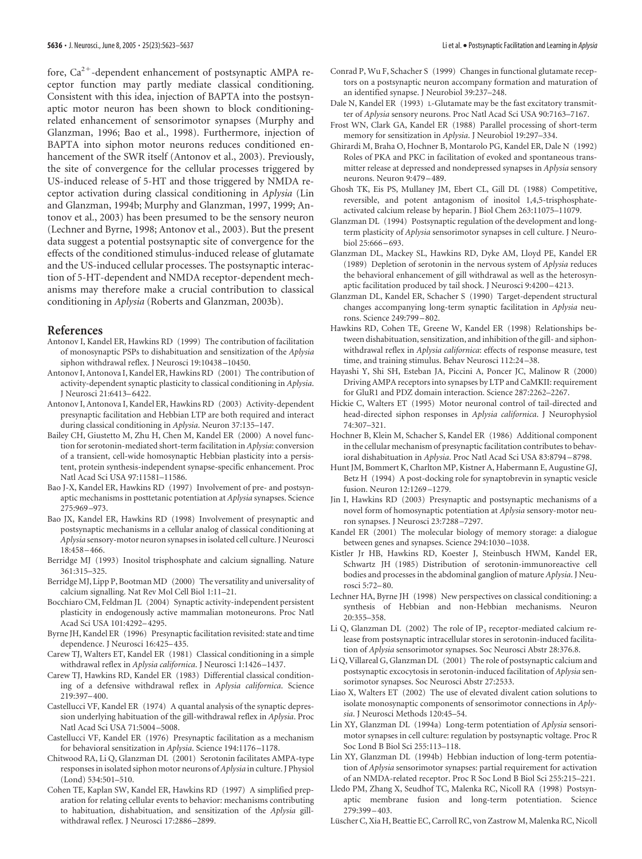fore,  $Ca^{2+}$ -dependent enhancement of postsynaptic AMPA receptor function may partly mediate classical conditioning. Consistent with this idea, injection of BAPTA into the postsynaptic motor neuron has been shown to block conditioningrelated enhancement of sensorimotor synapses (Murphy and Glanzman, 1996; Bao et al., 1998). Furthermore, injection of BAPTA into siphon motor neurons reduces conditioned enhancement of the SWR itself (Antonov et al., 2003). Previously, the site of convergence for the cellular processes triggered by US-induced release of 5-HT and those triggered by NMDA receptor activation during classical conditioning in *Aplysia* (Lin and Glanzman, 1994b; Murphy and Glanzman, 1997, 1999; Antonov et al., 2003) has been presumed to be the sensory neuron (Lechner and Byrne, 1998; Antonov et al., 2003). But the present data suggest a potential postsynaptic site of convergence for the effects of the conditioned stimulus-induced release of glutamate and the US-induced cellular processes. The postsynaptic interaction of 5-HT-dependent and NMDA receptor-dependent mechanisms may therefore make a crucial contribution to classical conditioning in *Aplysia* (Roberts and Glanzman, 2003b).

### **References**

- Antonov I, Kandel ER, Hawkins RD (1999) The contribution of facilitation of monosynaptic PSPs to dishabituation and sensitization of the *Aplysia* siphon withdrawal reflex. J Neurosci 19:10438 –10450.
- Antonov I, Antonova I, Kandel ER, Hawkins RD (2001) The contribution of activity-dependent synaptic plasticity to classical conditioning in *Aplysia*. J Neurosci 21:6413–6422.
- Antonov I, Antonova I, Kandel ER, Hawkins RD (2003) Activity-dependent presynaptic facilitation and Hebbian LTP are both required and interact during classical conditioning in *Aplysia*. Neuron 37:135–147.
- Bailey CH, Giustetto M, Zhu H, Chen M, Kandel ER (2000) A novel function for serotonin-mediated short-term facilitation in *Aplysia*: conversion of a transient, cell-wide homosynaptic Hebbian plasticity into a persistent, protein synthesis-independent synapse-specific enhancement. Proc Natl Acad Sci USA 97:11581–11586.
- Bao J-X, Kandel ER, Hawkins RD (1997) Involvement of pre- and postsynaptic mechanisms in posttetanic potentiation at *Aplysia* synapses. Science 275:969 –973.
- Bao JX, Kandel ER, Hawkins RD (1998) Involvement of presynaptic and postsynaptic mechanisms in a cellular analog of classical conditioning at *Aplysia* sensory-motor neuron synapses in isolated cell culture. J Neurosci 18:458 –466.
- Berridge MJ (1993) Inositol trisphosphate and calcium signalling. Nature 361:315–325.
- Berridge MJ, Lipp P, Bootman MD (2000) The versatility and universality of calcium signalling. Nat Rev Mol Cell Biol 1:11–21.
- Bocchiaro CM, Feldman JL (2004) Synaptic activity-independent persistent plasticity in endogenously active mammalian motoneurons. Proc Natl Acad Sci USA 101:4292–4295.
- Byrne JH, Kandel ER (1996) Presynaptic facilitation revisited: state and time dependence. J Neurosci 16:425–435.
- Carew TJ, Walters ET, Kandel ER (1981) Classical conditioning in a simple withdrawal reflex in *Aplysia californica*. J Neurosci 1:1426 –1437.
- Carew TJ, Hawkins RD, Kandel ER (1983) Differential classical conditioning of a defensive withdrawal reflex in *Aplysia californica*. Science 219:397–400.
- Castellucci VF, Kandel ER (1974) A quantal analysis of the synaptic depression underlying habituation of the gill-withdrawal reflex in *Aplysia*. Proc Natl Acad Sci USA 71:5004 –5008.
- Castellucci VF, Kandel ER (1976) Presynaptic facilitation as a mechanism for behavioral sensitization in *Aplysia*. Science 194:1176 –1178.
- Chitwood RA, Li Q, Glanzman DL (2001) Serotonin facilitates AMPA-type responses in isolated siphon motor neurons of*Aplysia* in culture. J Physiol (Lond) 534:501–510.
- Cohen TE, Kaplan SW, Kandel ER, Hawkins RD (1997) A simplified preparation for relating cellular events to behavior: mechanisms contributing to habituation, dishabituation, and sensitization of the *Aplysia* gillwithdrawal reflex. J Neurosci 17:2886 –2899.
- Conrad P, Wu F, Schacher S (1999) Changes in functional glutamate receptors on a postsynaptic neuron accompany formation and maturation of an identified synapse. J Neurobiol 39:237–248.
- Dale N, Kandel ER (1993) L-Glutamate may be the fast excitatory transmitter of *Aplysia* sensory neurons. Proc Natl Acad Sci USA 90:7163–7167.
- Frost WN, Clark GA, Kandel ER (1988) Parallel processing of short-term memory for sensitization in *Aplysia*. J Neurobiol 19:297–334.
- Ghirardi M, Braha O, Hochner B, Montarolo PG, Kandel ER, Dale N (1992) Roles of PKA and PKC in facilitation of evoked and spontaneous transmitter release at depressed and nondepressed synapses in *Aplysia* sensory neurons. Neuron 9:479 –489.
- Ghosh TK, Eis PS, Mullaney JM, Ebert CL, Gill DL (1988) Competitive, reversible, and potent antagonism of inositol 1,4,5-trisphosphateactivated calcium release by heparin. J Biol Chem 263:11075–11079.
- Glanzman DL (1994) Postsynaptic regulation of the development and longterm plasticity of *Aplysia* sensorimotor synapses in cell culture. J Neurobiol 25:666 –693.
- Glanzman DL, Mackey SL, Hawkins RD, Dyke AM, Lloyd PE, Kandel ER (1989) Depletion of serotonin in the nervous system of *Aplysia* reduces the behavioral enhancement of gill withdrawal as well as the heterosynaptic facilitation produced by tail shock. J Neurosci 9:4200 –4213.
- Glanzman DL, Kandel ER, Schacher S (1990) Target-dependent structural changes accompanying long-term synaptic facilitation in *Aplysia* neurons. Science 249:799 –802.
- Hawkins RD, Cohen TE, Greene W, Kandel ER (1998) Relationships between dishabituation, sensitization, and inhibition of the gill- and siphonwithdrawal reflex in *Aplysia californica*: effects of response measure, test time, and training stimulus. Behav Neurosci 112:24 –38.
- Hayashi Y, Shi SH, Esteban JA, Piccini A, Poncer JC, Malinow R (2000) Driving AMPA receptors into synapses by LTP and CaMKII: requirement for GluR1 and PDZ domain interaction. Science 287:2262–2267.
- Hickie C, Walters ET (1995) Motor neuronal control of tail-directed and head-directed siphon responses in *Aplysia californica*. J Neurophysiol 74:307–321.
- Hochner B, Klein M, Schacher S, Kandel ER (1986) Additional component in the cellular mechanism of presynaptic facilitation contributes to behavioral dishabituation in *Aplysia*. Proc Natl Acad Sci USA 83:8794 –8798.
- Hunt JM, Bommert K, Charlton MP, Kistner A, Habermann E, Augustine GJ, Betz H (1994) A post-docking role for synaptobrevin in synaptic vesicle fusion. Neuron 12:1269 –1279.
- Jin I, Hawkins RD (2003) Presynaptic and postsynaptic mechanisms of a novel form of homosynaptic potentiation at *Aplysia* sensory-motor neuron synapses. J Neurosci 23:7288 –7297.
- Kandel ER (2001) The molecular biology of memory storage: a dialogue between genes and synapses. Science 294:1030 –1038.
- Kistler Jr HB, Hawkins RD, Koester J, Steinbusch HWM, Kandel ER, Schwartz JH (1985) Distribution of serotonin-immunoreactive cell bodies and processes in the abdominal ganglion of mature *Aplysia*. J Neurosci 5:72–80.
- Lechner HA, Byrne JH (1998) New perspectives on classical conditioning: a synthesis of Hebbian and non-Hebbian mechanisms. Neuron 20:355–358.
- Li Q, Glanzman DL (2002) The role of IP<sub>3</sub> receptor-mediated calcium release from postsynaptic intracellular stores in serotonin-induced facilitation of *Aplysia* sensorimotor synapses. Soc Neurosci Abstr 28:376.8.
- Li Q, Villareal G, Glanzman DL (2001) The role of postsynaptic calcium and postsynaptic excocytosis in serotonin-induced facilitation of *Aplysia* sensorimotor synapses. Soc Neurosci Abstr 27:2533.
- Liao X, Walters ET (2002) The use of elevated divalent cation solutions to isolate monosynaptic components of sensorimotor connections in *Aplysia*. J Neurosci Methods 120:45–54.
- Lin XY, Glanzman DL (1994a) Long-term potentiation of *Aplysia* sensorimotor synapses in cell culture: regulation by postsynaptic voltage. Proc R Soc Lond B Biol Sci 255:113–118.
- Lin XY, Glanzman DL (1994b) Hebbian induction of long-term potentiation of *Aplysia* sensorimotor synapses: partial requirement for activation of an NMDA-related receptor. Proc R Soc Lond B Biol Sci 255:215–221.
- Lledo PM, Zhang X, Seudhof TC, Malenka RC, Nicoll RA (1998) Postsynaptic membrane fusion and long-term potentiation. Science 279:399 –403.
- Lüscher C, Xia H, Beattie EC, Carroll RC, von Zastrow M, Malenka RC, Nicoll